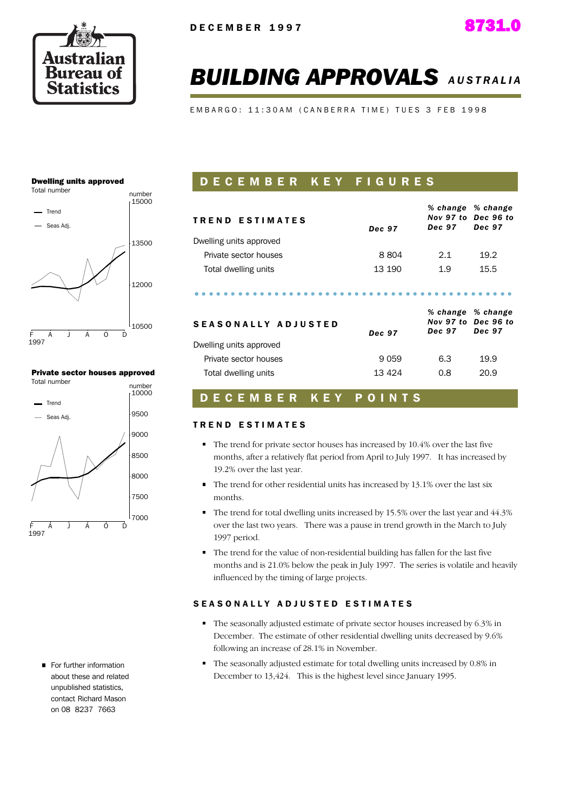

# **BUILDING APPROVALS AUSTRALIA**

EMBARGO: 11:30AM (CANBERRA TIME) TUES 3 FEB 1998

#### **Dwelling units approved**



#### **Private sector houses approved**



For further information about these and related unnublished statistics. contact Richard Mason on 08 8237 7663

# DECEMBER KEY FIGURES

| <b>TREND ESTIMATES</b>     | Dec 97  | <b>Dec 97</b> | % change % change<br>Nov 97 to Dec 96 to<br><b>Dec 97</b> |
|----------------------------|---------|---------------|-----------------------------------------------------------|
| Dwelling units approved    |         |               |                                                           |
| Private sector houses      | 8804    | 2.1           | 19.2                                                      |
| Total dwelling units       | 13 190  | 1.9           | 15.5                                                      |
| <b>SEASONALLY ADJUSTED</b> | Dec 97  | <b>Dec 97</b> | % change % change<br>Nov 97 to Dec 96 to<br>Dec 97        |
| Dwelling units approved    |         |               |                                                           |
| Private sector houses      | 9 0 5 9 | 6.3           | 19.9                                                      |
| Total dwelling units       | 13 4 24 | 0.8           | 20.9                                                      |

#### **DECEMBER KEY** POINTS

#### **TREND ESTIMATES**

- $\blacksquare$  The trend for private sector houses has increased by 10.4% over the last five months, after a relatively flat period from April to July 1997. It has increased by 19.2% over the last year.
- The trend for other residential units has increased by 13.1% over the last six months.
- $\blacksquare$  The trend for total dwelling units increased by 15.5% over the last year and 44.3% over the last two years. There was a pause in trend growth in the March to July 1997 period.
- The trend for the value of non-residential building has fallen for the last five months and is 21.0% below the peak in July 1997. The series is volatile and heavily influenced by the timing of large projects.

#### **SEASONALLY ADJUSTED ESTIMATES**

- The seasonally adjusted estimate of private sector houses increased by 6.3% in December. The estimate of other residential dwelling units decreased by 9.6% following an increase of 28.1% in November.
- The seasonally adjusted estimate for total dwelling units increased by 0.8% in December to 13,424. This is the highest level since January 1995.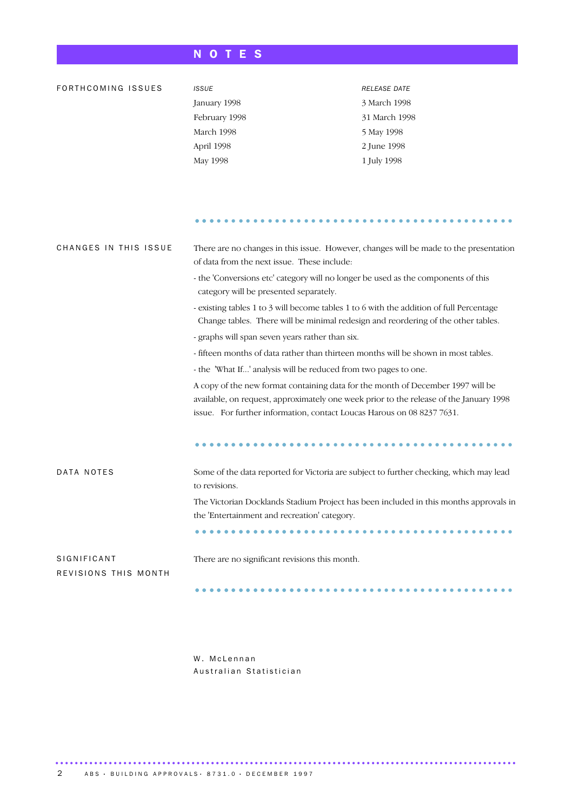# NOTES

| FORTHCOMING ISSUES                  | <b>ISSUE</b>                                                                                                                                                                                                                                        | <b>RELEASE DATE</b>                                                                    |  |  |  |  |  |
|-------------------------------------|-----------------------------------------------------------------------------------------------------------------------------------------------------------------------------------------------------------------------------------------------------|----------------------------------------------------------------------------------------|--|--|--|--|--|
|                                     | January 1998                                                                                                                                                                                                                                        | 3 March 1998                                                                           |  |  |  |  |  |
|                                     | February 1998                                                                                                                                                                                                                                       | 31 March 1998                                                                          |  |  |  |  |  |
|                                     | March 1998                                                                                                                                                                                                                                          | 5 May 1998                                                                             |  |  |  |  |  |
|                                     | April 1998                                                                                                                                                                                                                                          | 2 June 1998                                                                            |  |  |  |  |  |
|                                     | May 1998                                                                                                                                                                                                                                            | 1 July 1998                                                                            |  |  |  |  |  |
|                                     |                                                                                                                                                                                                                                                     |                                                                                        |  |  |  |  |  |
|                                     |                                                                                                                                                                                                                                                     |                                                                                        |  |  |  |  |  |
|                                     |                                                                                                                                                                                                                                                     |                                                                                        |  |  |  |  |  |
| CHANGES IN THIS ISSUE               | of data from the next issue. These include:                                                                                                                                                                                                         | There are no changes in this issue. However, changes will be made to the presentation  |  |  |  |  |  |
|                                     | - the 'Conversions etc' category will no longer be used as the components of this<br>category will be presented separately.                                                                                                                         |                                                                                        |  |  |  |  |  |
|                                     | - existing tables 1 to 3 will become tables 1 to 6 with the addition of full Percentage<br>Change tables. There will be minimal redesign and reordering of the other tables.                                                                        |                                                                                        |  |  |  |  |  |
|                                     | - graphs will span seven years rather than six.                                                                                                                                                                                                     |                                                                                        |  |  |  |  |  |
|                                     | - fifteen months of data rather than thirteen months will be shown in most tables.                                                                                                                                                                  |                                                                                        |  |  |  |  |  |
|                                     | - the 'What If' analysis will be reduced from two pages to one.                                                                                                                                                                                     |                                                                                        |  |  |  |  |  |
|                                     | A copy of the new format containing data for the month of December 1997 will be<br>available, on request, approximately one week prior to the release of the January 1998<br>issue. For further information, contact Loucas Harous on 08 8237 7631. |                                                                                        |  |  |  |  |  |
|                                     |                                                                                                                                                                                                                                                     |                                                                                        |  |  |  |  |  |
| DATA NOTES                          | to revisions.                                                                                                                                                                                                                                       | Some of the data reported for Victoria are subject to further checking, which may lead |  |  |  |  |  |
|                                     | the 'Entertainment and recreation' category.                                                                                                                                                                                                        | The Victorian Docklands Stadium Project has been included in this months approvals in  |  |  |  |  |  |
|                                     |                                                                                                                                                                                                                                                     |                                                                                        |  |  |  |  |  |
| SIGNIFICANT<br>REVISIONS THIS MONTH | There are no significant revisions this month.                                                                                                                                                                                                      |                                                                                        |  |  |  |  |  |
|                                     |                                                                                                                                                                                                                                                     |                                                                                        |  |  |  |  |  |

W. McLennan Australian Statistician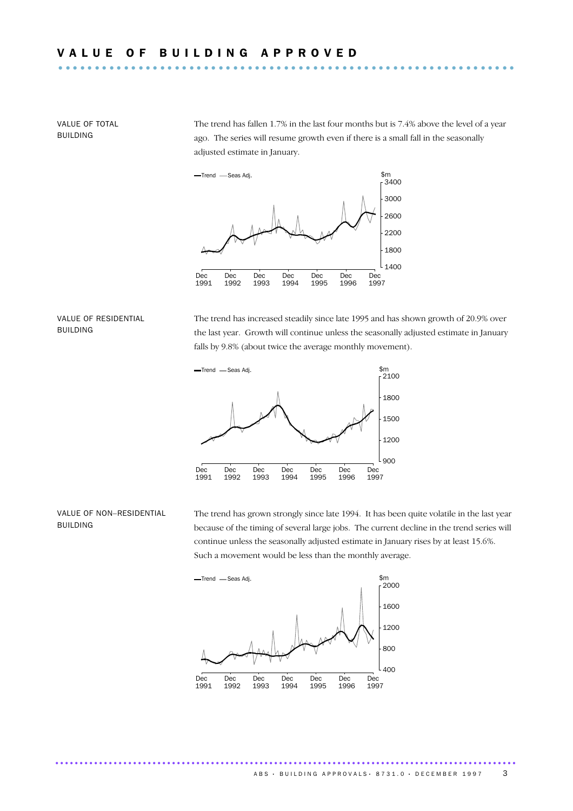VALUE OF TOTAL **BUILDING** 

The trend has fallen  $1.7\%$  in the last four months but is  $7.4\%$  above the level of a year ago. The series will resume growth even if there is a small fall in the seasonally adjusted estimate in January.



#### VALUE OF RESIDENTIAL **BUILDING**

The trend has increased steadily since late 1995 and has shown growth of 20.9% over the last year. Growth will continue unless the seasonally adjusted estimate in January falls by 9.8% (about twice the average monthly movement).



#### VALUE OF NON-RESIDENTIAL **BUILDING**

The trend has grown strongly since late 1994. It has been quite volatile in the last year because of the timing of several large jobs. The current decline in the trend series will continue unless the seasonally adjusted estimate in January rises by at least 15.6%. Such a movement would be less than the monthly average.



...............................................................................................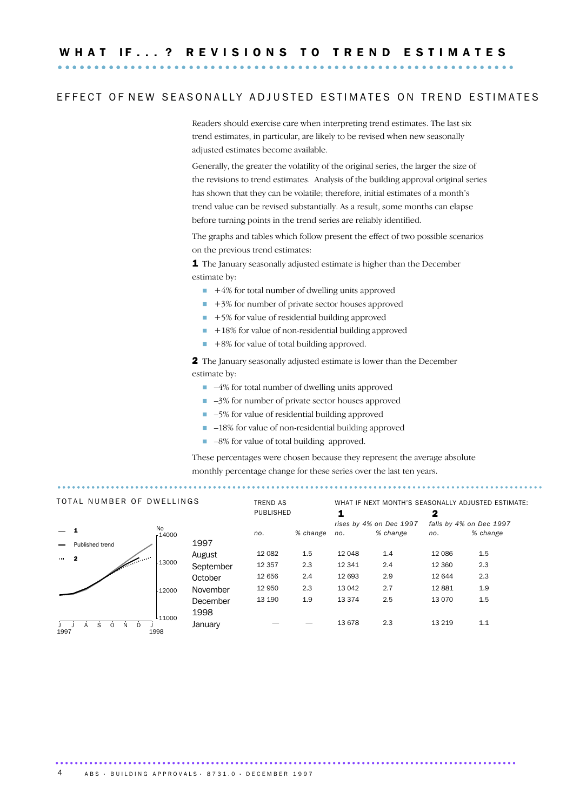## EFFECT OF NEW SEASONALLY ADJUSTED ESTIMATES ON TREND ESTIMATES

Readers should exercise care when interpreting trend estimates. The last six trend estimates, in particular, are likely to be revised when new seasonally adjusted estimates become available.

Generally, the greater the volatility of the original series, the larger the size of the revisions to trend estimates. Analysis of the building approval original series has shown that they can be volatile; therefore, initial estimates of a month's trend value can be revised substantially. As a result, some months can elapse before turning points in the trend series are reliably identified.

The graphs and tables which follow present the effect of two possible scenarios on the previous trend estimates:

1 The January seasonally adjusted estimate is higher than the December estimate by:

- $\blacksquare$  +4% for total number of dwelling units approved
- $\blacksquare$  +3% for number of private sector houses approved
- $\blacksquare$  +5% for value of residential building approved
- $\blacksquare$  +18% for value of non-residential building approved
- $+8\%$  for value of total building approved.

2 The January seasonally adjusted estimate is lower than the December estimate by:

- $\Box$  -4% for total number of dwelling units approved
- $\Box$  -3% for number of private sector houses approved
- -5% for value of residential building approved
- $\blacksquare$  -18% for value of non-residential building approved
- $\blacksquare$  -8% for value of total building approved.

These percentages were chosen because they represent the average absolute monthly percentage change for these series over the last ten years.

| TOTAL NUMBER OF DWELLINGS                                                                                                                                                                                                                     |                           |                            | <b>TREND AS</b> | PUBLISHED |          | WHAT IF NEXT MONTH'S SEASONALLY ADJUSTED ESTIMATE:<br>1<br>2 |                         |         |                         |
|-----------------------------------------------------------------------------------------------------------------------------------------------------------------------------------------------------------------------------------------------|---------------------------|----------------------------|-----------------|-----------|----------|--------------------------------------------------------------|-------------------------|---------|-------------------------|
|                                                                                                                                                                                                                                               |                           |                            |                 |           |          |                                                              | rises by 4% on Dec 1997 |         | falls by 4% on Dec 1997 |
|                                                                                                                                                                                                                                               |                           | No<br>14000                |                 | no.       | % change | no.                                                          | % change                | no.     | % change                |
|                                                                                                                                                                                                                                               | Published trend           |                            | 1997            |           |          |                                                              |                         |         |                         |
|                                                                                                                                                                                                                                               |                           |                            | August          | 12 0 82   | $1.5\,$  | 12 048                                                       | 1.4                     | 12 0 86 | 1.5                     |
| a de la califactiva de la califactiva de la califactiva de la califactiva de la califactiva de la califactiva<br>La califactiva de la califactiva de la califactiva de la califactiva de la califactiva de la califactiva de la<br>$\cdots$ 2 | $-13000$                  | September                  | 12 3 57         | 2.3       | 12 341   | 2.4                                                          | 12 3 60                 | 2.3     |                         |
|                                                                                                                                                                                                                                               |                           |                            | October         | 12 656    | 2.4      | 12 693                                                       | 2.9                     | 12 644  | 2.3                     |
|                                                                                                                                                                                                                                               |                           | 12000                      | November        | 12 950    | 2.3      | 13 042                                                       | 2.7                     | 12881   | 1.9                     |
|                                                                                                                                                                                                                                               |                           |                            | December        | 13 190    | 1.9      | 13 374                                                       | 2.5                     | 13 0 70 | 1.5                     |
|                                                                                                                                                                                                                                               |                           |                            | 1998            |           |          |                                                              |                         |         |                         |
| 1997                                                                                                                                                                                                                                          | S.<br>D.<br>N<br>$\Omega$ | 11000 <sup>ا</sup><br>1998 | January         |           |          | 13 678                                                       | 2.3                     | 13 2 19 | 1.1                     |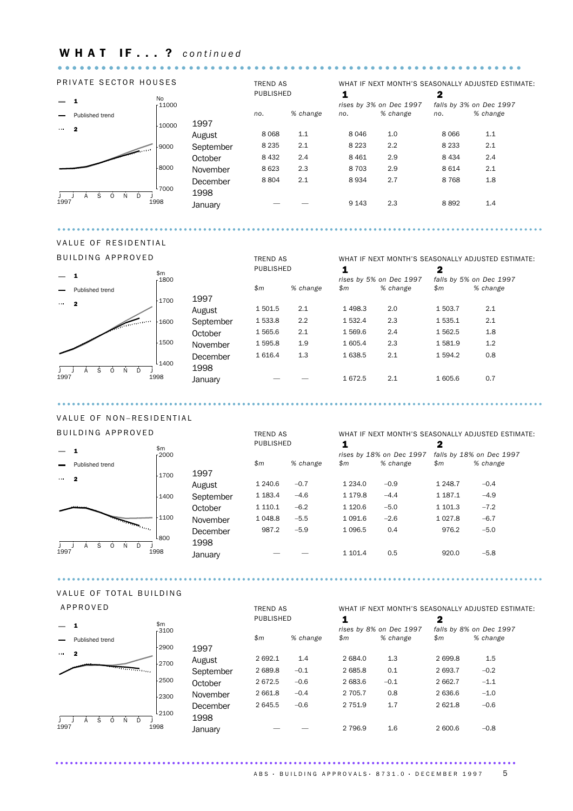# WHAT IF...? continued

#### PRIVATE SECTOR HOUSES

 $\mathbf{A} \times \mathbf{A} \times \mathbf{A}$ 

 $-1$ No<br>- 11000 - Published trend  $-10000$  $\cdots$  2 A  $-9000$  $S_6$ Z .  $O($ 8000 N<sub>0</sub>  $D<sub>0</sub>$ l <sub>7000</sub>  $\overline{) \overline{)}$ <br>1997 ंड À  $\overline{0}$  $\overline{N}$ Ď ]<br>1998

|           | <b>TREND AS</b><br><b>PUBLISHED</b> |          | WHAT IF NEXT MONTH'S SEASONALLY ADJUSTED ESTIMATE:<br>1<br>2 |                                     |         |                                     |  |  |  |
|-----------|-------------------------------------|----------|--------------------------------------------------------------|-------------------------------------|---------|-------------------------------------|--|--|--|
|           | no.                                 | % change | no.                                                          | rises by 3% on Dec 1997<br>% change | no.     | falls by 3% on Dec 1997<br>% change |  |  |  |
| 1997      |                                     |          |                                                              |                                     |         |                                     |  |  |  |
| August    | 8 0 6 8                             | 1.1      | 8 0 4 6                                                      | 1.0                                 | 8 0 6 6 | 1.1                                 |  |  |  |
| September | 8 2 3 5                             | 2.1      | 8 2 2 3                                                      | 2.2                                 | 8 2 3 3 | 2.1                                 |  |  |  |
| October   | 8 4 3 2                             | 2.4      | 8 4 6 1                                                      | 2.9                                 | 8 4 3 4 | 2.4                                 |  |  |  |
| November  | 8 6 23                              | 2.3      | 8 7 0 3                                                      | 2.9                                 | 8614    | 2.1                                 |  |  |  |
| December  | 8804                                | 2.1      | 8934                                                         | 2.7                                 | 8768    | 1.8                                 |  |  |  |
| 1998      |                                     |          |                                                              |                                     |         |                                     |  |  |  |
| January   |                                     |          | 9 1 4 3                                                      | 2.3                                 | 8892    | 1.4                                 |  |  |  |

 $\ddot{\phantom{a}}$ 

## VALUE OF RESIDENTIAL

|                          | <b>BUILDING APPROVED</b> |                   |           |           | <b>TREND AS</b> |                              | WHAT IF NEXT MONTH'S SEASONALLY ADJUSTED ESTIMATE: |                         |                                     |  |
|--------------------------|--------------------------|-------------------|-----------|-----------|-----------------|------------------------------|----------------------------------------------------|-------------------------|-------------------------------------|--|
| <b>Contract Contract</b> | \$m\$                    |                   |           | PUBLISHED |                 | 1<br>rises by 5% on Dec 1997 |                                                    | 2                       |                                     |  |
|                          | Published trend          | 1800              |           | \$m\$     | % change        | \$m\$                        | % change                                           | $\mathop{\$m}\nolimits$ | falls by 5% on Dec 1997<br>% change |  |
| $\cdots$ 2               |                          | 1700              | 1997      |           |                 |                              |                                                    |                         |                                     |  |
|                          |                          |                   | August    | 1 501.5   | 2.1             | 1498.3                       | 2.0                                                | 1 503.7                 | 2.1                                 |  |
|                          | $\sqrt{2\pi}$            | 1600              | September | 1 533.8   | 2.2             | 1 532.4                      | 2.3                                                | 1 535.1                 | 2.1                                 |  |
|                          |                          |                   | October   | 1 565.6   | 2.1             | 1 569.6                      | 2.4                                                | 1 5 6 2.5               | 1.8                                 |  |
|                          |                          | 1500              | November  | 1 5 9 5.8 | 1.9             | 1 605.4                      | 2.3                                                | 1581.9                  | 1.2                                 |  |
|                          |                          |                   | December  | 1 6 1 6.4 | 1.3             | 1 638.5                      | 2.1                                                | 1 5 9 4.2               | 0.8                                 |  |
| D<br>N<br>S<br>0<br>1997 |                          | <sup>l</sup> 1400 | 1998      |           |                 |                              |                                                    |                         |                                     |  |
|                          |                          | 1998              | January   |           |                 | 1672.5                       | 2.1                                                | 1 605.6                 | 0.7                                 |  |

# VALUE OF NON-RESIDENTIAL

| BUILDING APPROVED                |                 |                  |           | <b>TREND AS</b> |          | WHAT IF NEXT MONTH'S SEASONALLY ADJUSTED ESTIMATE: |                          |                          |          |
|----------------------------------|-----------------|------------------|-----------|-----------------|----------|----------------------------------------------------|--------------------------|--------------------------|----------|
|                                  |                 | \$m              |           | PUBLISHED       |          | $\mathbf 2$<br>1                                   |                          |                          |          |
|                                  |                 | $-2000$          |           |                 |          |                                                    | rises by 18% on Dec 1997 | falls by 18% on Dec 1997 |          |
|                                  | Published trend |                  |           | \$m\$           | % change | \$m\$                                              | % change                 | \$m\$                    | % change |
| <b>CONTRACTOR</b>                | 2               | $-1700$          | 1997      |                 |          |                                                    |                          |                          |          |
|                                  |                 |                  | August    | 1 240.6         | $-0.7$   | 1 2 3 4 .0                                         | $-0.9$                   | 1 2 4 8.7                | $-0.4$   |
|                                  |                 | $-1400$          | September | 1 183.4         | $-4.6$   | 1 179.8                                            | $-4.4$                   | 1 1 8 7 . 1              | $-4.9$   |
|                                  |                 |                  | October   | 1 1 1 0 . 1     | $-6.2$   | 1 1 2 0.6                                          | $-5.0$                   | 1 101.3                  | $-7.2$   |
|                                  | المستعفر        | 1100             | November  | 1 0 4 8.8       | $-5.5$   | 1 0 9 1.6                                          | $-2.6$                   | 1 0 27.8                 | $-6.7$   |
|                                  |                 |                  | December  | 987.2           | $-5.9$   | 1 0 9 6.5                                          | 0.4                      | 976.2                    | $-5.0$   |
| D<br>S.<br>N<br>$\Omega$<br>1997 |                 | <sup>l</sup> 800 | 1998      |                 |          |                                                    |                          |                          |          |
|                                  |                 | 1998             | January   |                 |          | 1 101.4                                            | 0.5                      | 920.0                    | $-5.8$   |
|                                  |                 |                  |           |                 |          |                                                    |                          |                          |          |

#### VALUE OF TOTAL BUILDING

## APPROVED

| APPROVED                                              |                |                  | <b>TREND AS</b> |          |                              |          |                              | WHAT IF NEXT MONTH'S SEASONALLY ADJUSTED ESTIMATE: |
|-------------------------------------------------------|----------------|------------------|-----------------|----------|------------------------------|----------|------------------------------|----------------------------------------------------|
|                                                       | \$m<br>$-3100$ |                  | PUBLISHED       |          | 1<br>rises by 8% on Dec 1997 |          | 2<br>falls by 8% on Dec 1997 |                                                    |
| Published trend                                       |                |                  | $\mathsf{m}$    | % change | $\mathfrak{m}$               | % change | \$m                          | % change                                           |
| 2<br><b>CONTRACTOR</b><br>الأناس المتناسبين والمتناسب | 2900           | 1997<br>August   | 2692.1          | 1.4      | 2 684.0                      | 1.3      | 2699.8                       | 1.5                                                |
|                                                       | $-2700$        | September        | 2689.8          | $-0.1$   | 2 685.8                      | 0.1      | 2 693.7                      | $-0.2$                                             |
|                                                       | $-2500$        | October          | 2672.5          | $-0.6$   | 2 683.6                      | $-0.1$   | 2 662.7                      | $-1.1$                                             |
|                                                       | 2300           | November         | 2 661.8         | $-0.4$   | 2 705.7                      | 0.8      | 2 636.6                      | $-1.0$                                             |
| Ŝ.<br>N<br>- D<br>$\Omega$<br>А                       | 2100           | December<br>1998 | 2645.5          | $-0.6$   | 2 751.9                      | 1.7      | 2621.8                       | $-0.6$                                             |
| 1997                                                  | 1998           | January          |                 |          | 2 7 9 6.9                    | 1.6      | 2 600.6                      | $-0.8$                                             |

. . . . . . . . . . . . . .

#### ABS · BUILDING APPROVALS · 8731.0 · DECEMBER 1997 5

 $\bullet\hspace{0.1cm} \bullet\hspace{0.1cm} \bullet\hspace{0.1cm} \bullet\hspace{0.1cm} \bullet\hspace{0.1cm} \bullet\hspace{0.1cm} \bullet$ 

. . . . . . . . . . . . . . . .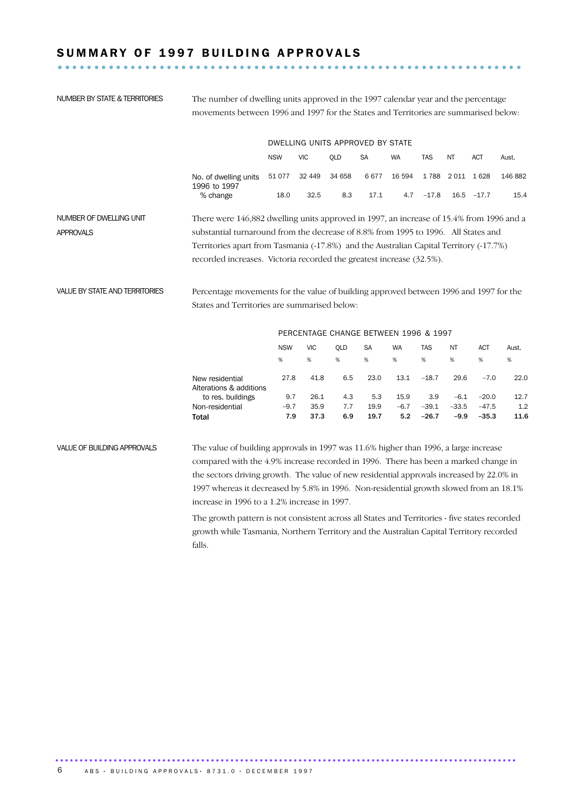# SUMMARY OF 1997 BUILDING APPROVALS

NUMBER BY STATE & TERRITORIES

movements between 1996 and 1997 for the States and Territories are summarised below: DWELLING UNITS APPROVED BY STATE **NSW VIC SA WA TAS**  $OLD$ **NT** ACT Aust. No. of dwelling units 51 077 32 449 34 658 6 677 16 594 1 788 2 011 1 628 146 882 1996 to 1997 % change 18.0  $32.5$  $8.3$  $17.1$ 4.7  $-17.8$  16.5  $-17.7$ 15.4 NUMBER OF DWELLING UNIT There were 146,882 dwelling units approved in 1997, an increase of 15.4% from 1996 and a substantial turnaround from the decrease of 8.8% from 1995 to 1996. All States and **APPROVALS** Territories apart from Tasmania (-17.8%) and the Australian Capital Territory (-17.7%)

The number of dwelling units approved in the 1997 calendar year and the percentage

**VALUE BY STATE AND TERRITORIES** Percentage movements for the value of building approved between 1996 and 1997 for the States and Territories are summarised below:

|                                            | PERCENTAGE CHANGE BETWEEN 1996 & 1997 |            |            |           |        |         |         |            |       |
|--------------------------------------------|---------------------------------------|------------|------------|-----------|--------|---------|---------|------------|-------|
|                                            | <b>NSW</b>                            | <b>VIC</b> | <b>OLD</b> | <b>SA</b> | WA     | TAS     | ΝT      | <b>ACT</b> | Aust. |
|                                            | %                                     | %          | %          | %         | %      | %       | %       | %          | %     |
| New residential<br>Alterations & additions | 27.8                                  | 41.8       | 6.5        | 23.0      | 13.1   | $-18.7$ | 29.6    | $-7.0$     | 22.0  |
| to res. buildings                          | 9.7                                   | 26.1       | 4.3        | 5.3       | 15.9   | 3.9     | $-6.1$  | $-20.0$    | 12.7  |
| Non-residential                            | $-9.7$                                | 35.9       | 7.7        | 19.9      | $-6.7$ | $-39.1$ | $-33.5$ | $-47.5$    | 1.2   |
| Total                                      | 7.9                                   | 37.3       | 6.9        | 19.7      | 5.2    | $-26.7$ | $-9.9$  | $-35.3$    | 11.6  |
|                                            |                                       |            |            |           |        |         |         |            |       |

recorded increases. Victoria recorded the greatest increase (32.5%).

VALUE OF BUILDING APPROVALS The value of building approvals in 1997 was 11.6% higher than 1996, a large increase compared with the 4.9% increase recorded in 1996. There has been a marked change in the sectors driving growth. The value of new residential approvals increased by 22.0% in 1997 whereas it decreased by 5.8% in 1996. Non-residential growth slowed from an 18.1% increase in 1996 to a 1.2% increase in 1997.

> The growth pattern is not consistent across all States and Territories - five states recorded growth while Tasmania, Northern Territory and the Australian Capital Territory recorded falls.

> > . . . . . . . . . . .

6 ABS · BUILDING APPROVALS · 8731.0 · DECEMBER 1997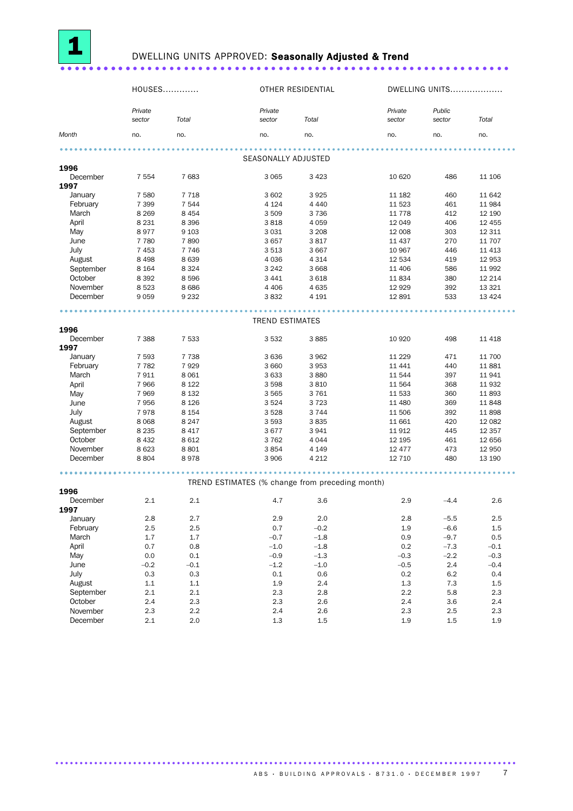

# DWELLING UNITS APPROVED: Seasonally Adjusted & Trend

|                  |                   | HOUSES  |                                                      | OTHER RESIDENTIAL |                   | DWELLING UNITS   |          |
|------------------|-------------------|---------|------------------------------------------------------|-------------------|-------------------|------------------|----------|
|                  | Private<br>sector | Total   | Private<br>sector                                    | Total             | Private<br>sector | Public<br>sector | Total    |
| Month            | no.               | no.     | no.                                                  | no.               | no.               | no.              | no.      |
|                  |                   |         |                                                      |                   |                   |                  |          |
| 1996             |                   |         | SEASONALLY ADJUSTED                                  |                   |                   |                  |          |
| December         | 7 5 5 4           | 7683    | 3 0 6 5                                              | 3 4 2 3           | 10 6 20           | 486              | 11 106   |
| 1997             |                   |         |                                                      |                   |                   |                  |          |
| January          | 7 5 8 0           | 7 7 1 8 | 3602                                                 | 3925              | 11 182            | 460              | 11 642   |
| February         | 7 3 9 9           | 7 5 4 4 | 4 1 2 4                                              | 4 4 4 0           | 11 5 23           | 461              | 11 984   |
| March            | 8 2 6 9           | 8 4 5 4 | 3509                                                 | 3 7 3 6           | 11 7 7 8          | 412              | 12 190   |
| April            | 8 2 3 1           | 8 3 9 6 | 3818                                                 | 4 0 5 9           | 12 049            | 406              | 12 4 5 5 |
| May              | 8977              | 9 1 0 3 | 3 0 3 1                                              | 3 2 0 8           | 12 008            | 303              | 12 311   |
| June             | 7 7 8 0           | 7890    | 3657                                                 | 3817              | 11 437            | 270              | 11 707   |
| July             | 7453              | 7 7 4 6 | 3513                                                 | 3 6 6 7           | 10 967            | 446              | 11 4 13  |
| August           | 8 4 9 8           | 8639    | 4 0 3 6                                              | 4 3 1 4           | 12 5 34           | 419              | 12 953   |
| September        | 8 1 6 4           | 8 3 2 4 | 3 2 4 2                                              | 3 6 6 8           | 11 40 6           | 586              | 11 992   |
| October          | 8 3 9 2           | 8596    | 3 4 4 1                                              | 3 6 18            | 11834             | 380              | 12 214   |
| November         | 8523              | 8686    | 4 4 0 6                                              | 4 6 3 5           | 12 9 29           | 392              | 13 3 2 1 |
| December         | 9059              | 9 2 3 2 | 3832                                                 | 4 1 9 1           | 12 891            | 533              | 13 4 24  |
|                  |                   |         | .                                                    |                   |                   |                  |          |
| 1996             |                   |         | <b>TREND ESTIMATES</b>                               |                   |                   |                  |          |
| December         | 7 3 8 8           | 7 5 3 3 | 3532                                                 | 3885              | 10 9 20           | 498              | 11 4 18  |
| 1997             |                   |         |                                                      |                   |                   |                  |          |
| January          | 7 5 9 3           | 7 7 3 8 | 3636                                                 | 3 9 6 2           | 11 2 2 9          | 471              | 11 700   |
| February         | 7 7 8 2           | 7929    | 3 6 6 0                                              | 3953              | 11 441            | 440              | 11881    |
| March            | 7911              | 8 0 6 1 | 3633                                                 | 3880              | 11544             | 397              | 11941    |
| April            | 7966              | 8 1 2 2 | 3598                                                 | 3810              | 11 5 64           | 368              | 11 9 32  |
| May              | 7969              | 8 1 3 2 | 3565                                                 | 3761              | 11 533            | 360              | 11893    |
| June             | 7956              | 8 1 2 6 | 3524                                                 | 3723              | 11 480            | 369              | 11848    |
| July             | 7978              | 8 1 5 4 | 3528                                                 | 3 7 4 4           | 11 506            | 392              | 11898    |
| August           | 8068              | 8 2 4 7 | 3 5 9 3                                              | 3835              | 11 661            | 420              | 12 08 2  |
| September        | 8 2 3 5           | 8 4 1 7 | 3677                                                 | 3941              | 11 912            | 445              | 12 3 5 7 |
| October          | 8 4 3 2           | 8612    | 3762                                                 | 4 0 4 4           | 12 195            | 461              | 12 656   |
| November         | 8623              | 8 8 0 1 | 3854                                                 | 4 1 4 9           | 12 477            | 473              | 12 950   |
| December         | 8804              | 8978    | 3 9 0 6                                              | 4 2 1 2           | 12 710            | 480              | 13 190   |
|                  |                   |         | .<br>TREND ESTIMATES (% change from preceding month) |                   | .                 |                  |          |
| 1996             |                   |         |                                                      |                   |                   |                  |          |
| December<br>1997 | 2.1               | 2.1     | 4.7                                                  | 3.6               | 2.9               | $-4.4$           | 2.6      |
| January          | 2.8               | 2.7     | 2.9                                                  | 2.0               | 2.8               | $-5.5$           | 2.5      |
| February         | 2.5               | 2.5     | 0.7                                                  | $-0.2$            | 1.9               | $-6.6$           | $1.5\,$  |
| March            | 1.7               | $1.7\,$ | $-0.7$                                               | $-1.8$            | 0.9               | $-9.7$           | 0.5      |
| April            | 0.7               | 0.8     | $-1.0$                                               | $-1.8$            | 0.2               | $-7.3$           | $-0.1$   |
| May              | 0.0               | $0.1\,$ | $-0.9$                                               | $-1.3$            | $-0.3$            | $-2.2$           | $-0.3$   |
| June             | $-0.2$            | $-0.1$  | $-1.2$                                               | $-1.0$            | $-0.5$            | 2.4              | $-0.4$   |
| July             | 0.3               | 0.3     | $0.1\,$                                              | 0.6               | 0.2               | $6.2\,$          | 0.4      |
| August           | 1.1               | 1.1     | 1.9                                                  | 2.4               | 1.3               | 7.3              | 1.5      |
| September        | $2.1\,$           | 2.1     | 2.3                                                  | 2.8               | 2.2               | 5.8              | 2.3      |
| October          | 2.4               | 2.3     | 2.3                                                  | 2.6               | 2.4               | 3.6              | 2.4      |
| November         | 2.3               | 2.2     | 2.4                                                  | 2.6               | 2.3               | 2.5              | 2.3      |
| December         | 2.1               | $2.0\,$ | $1.3\,$                                              | 1.5               | 1.9               | $1.5\,$          | 1.9      |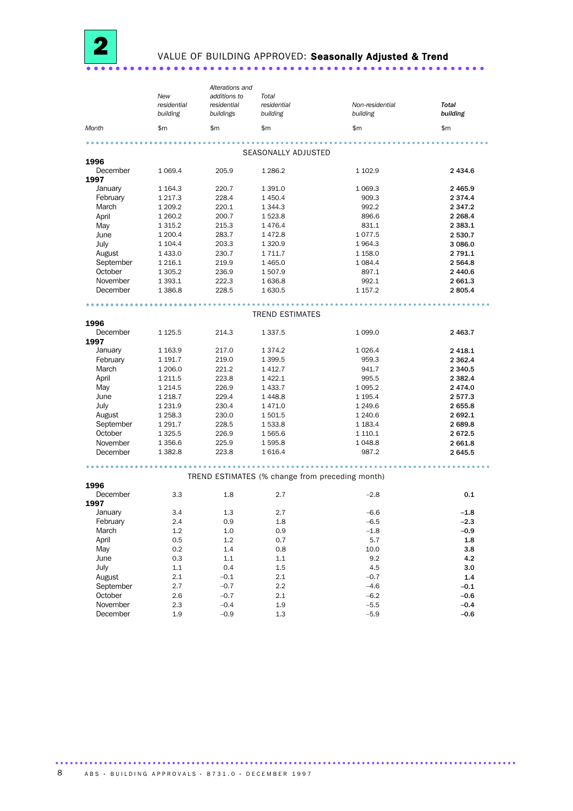

# VALUE OF BUILDING APPROVED: Seasonally Adjusted & Trend

|                  | New<br>residential<br>building | Alterations and<br>additions to<br>residential<br>buildings | Total<br>residential<br>building | Non-residential<br>building                     | Total<br>building |
|------------------|--------------------------------|-------------------------------------------------------------|----------------------------------|-------------------------------------------------|-------------------|
| Month            | \$m                            | \$m                                                         | \$m                              | \$m\$                                           | \$m               |
|                  |                                |                                                             | SEASONALLY ADJUSTED              |                                                 |                   |
| 1996             |                                |                                                             |                                  |                                                 |                   |
| December         | 1 0 6 9.4                      | 205.9                                                       | 1 2 8 6.2                        | 1 102.9                                         | 2 4 3 4 .6        |
| 1997             |                                |                                                             |                                  |                                                 |                   |
| January          | 1 1 64.3                       | 220.7                                                       | 1 391.0                          | 1 0 69.3                                        | 2 4 6 5.9         |
| February         | 1 2 1 7 . 3                    | 228.4                                                       | 1 450.4                          | 909.3                                           | 2 3 7 4 . 4       |
| March            | 1 209.2                        | 220.1                                                       | 1 3 4 4 .3                       | 992.2                                           | 2 3 4 7 . 2       |
| April            | 1 260.2                        | 200.7                                                       | 1 523.8                          | 896.6                                           | 2 2 68.4          |
| May              | 1 3 1 5 . 2                    | 215.3                                                       | 1476.4                           | 831.1                                           | 2 3 8 3 . 1       |
| June             | 1 200.4                        | 283.7                                                       | 1472.8                           | 1077.5                                          | 2 530.7           |
| July             | 1 1 0 4 .4                     | 203.3                                                       | 1 3 2 0.9                        | 1964.3                                          | 3 086.0           |
| August           | 1 433.0                        | 230.7                                                       | 1 7 1 1.7                        | 1 1 58.0                                        | 2 791.1           |
| September        | 1 2 1 6 . 1                    | 219.9                                                       | 1 4 6 5.0                        | 1 0 8 4.4                                       | 2 5 6 4.8         |
| October          | 1 305.2                        | 236.9                                                       | 1 507.9                          | 897.1                                           | 2 440.6           |
| November         | 1 3 9 3.1                      | 222.3                                                       | 1 636.8                          | 992.1                                           | 2 661.3           |
| December         | 1 3 8 6.8                      | 228.5                                                       | 1 630.5                          | 1 157.2                                         | 2805.4            |
|                  |                                |                                                             |                                  |                                                 |                   |
| 1996             |                                |                                                             | <b>TREND ESTIMATES</b>           |                                                 |                   |
| December         | 1 1 2 5 .5                     | 214.3                                                       | 1 3 3 7 .5                       | 1 0 9 9.0                                       | 2 4 6 3.7         |
| 1997             |                                |                                                             |                                  |                                                 |                   |
| January          | 1 1 6 3 . 9                    | 217.0                                                       | 1 3 7 4 . 2                      | 1 0 26.4                                        | 2 4 18.1          |
| February         | 1 191.7                        | 219.0                                                       | 1 399.5                          | 959.3                                           | 2 3 6 2.4         |
| March            | 1 206.0                        | 221.2                                                       | 1 4 1 2.7                        | 941.7                                           | 2 340.5           |
| April            | 1 211.5                        | 223.8                                                       | 1 4 2 2.1                        | 995.5                                           | 2 3 8 2.4         |
| May              | 1 2 1 4 .5                     | 226.9                                                       | 1 4 3 3.7                        | 1 0 9 5.2                                       | 2474.0            |
| June             | 1 2 1 8 . 7                    | 229.4                                                       | 1448.8                           | 1 1 9 5 . 4                                     | 2577.3            |
| July             | 1 2 3 1 . 9                    | 230.4                                                       | 1 471.0                          | 1 2 4 9.6                                       | 2655.8            |
| August           | 1 258.3                        | 230.0                                                       | 1 501.5                          | 1 240.6                                         | 2 692.1           |
| September        | 1 291.7                        | 228.5                                                       | 1 533.8                          | 1 1 8 3 . 4                                     | 2 689.8           |
| October          | 1 3 2 5 .5                     | 226.9                                                       | 1 565.6                          | 1 110.1                                         | 2672.5            |
| November         | 1 356.6                        | 225.9                                                       | 1 595.8                          | 1048.8                                          | 2 661.8           |
| December         | 1 3 8 2.8                      | 223.8                                                       | 1 6 1 6.4                        | 987.2                                           | 2645.5            |
|                  |                                |                                                             |                                  |                                                 |                   |
| 1996             |                                |                                                             |                                  | TREND ESTIMATES (% change from preceding month) |                   |
| December<br>1997 | 3.3                            | 1.8                                                         | 2.7                              | $-2.8$                                          | 0.1               |
| January          | 3.4                            | $1.3\,$                                                     | 2.7                              | $-6.6$                                          | $-1.8$            |
| February         | 2.4                            | 0.9                                                         | 1.8                              | $-6.5$                                          | $-2.3$            |
| March            | 1.2                            | 1.0                                                         | 0.9                              | $-1.8$                                          | $-0.9$            |
| April            | 0.5                            | $1.2\,$                                                     | 0.7                              | 5.7                                             | 1.8               |
| May              | 0.2                            | $1.4\,$                                                     | 0.8                              | 10.0                                            | 3.8               |
| June             | 0.3                            | 1.1                                                         | 1.1                              | 9.2                                             | 4.2               |
| July             | 1.1                            | 0.4                                                         | 1.5                              | 4.5                                             | 3.0               |
| August           | $2.1\,$                        | $-0.1$                                                      | $2.1\,$                          | $-0.7$                                          | $1.4\,$           |
| September        | 2.7                            | $-0.7$                                                      | 2.2                              | $-4.6$                                          | $-0.1$            |
| October          | 2.6                            | $-0.7$                                                      | $2.1\,$                          | $-6.2$                                          | $-0.6$            |
| November         | 2.3                            | $-0.4$                                                      | $1.9\,$                          | $-5.5$                                          | $-0.4$            |
| December         | 1.9                            | $-0.9$                                                      | 1.3                              | $-5.9$                                          | $-0.6$            |
|                  |                                |                                                             |                                  |                                                 |                   |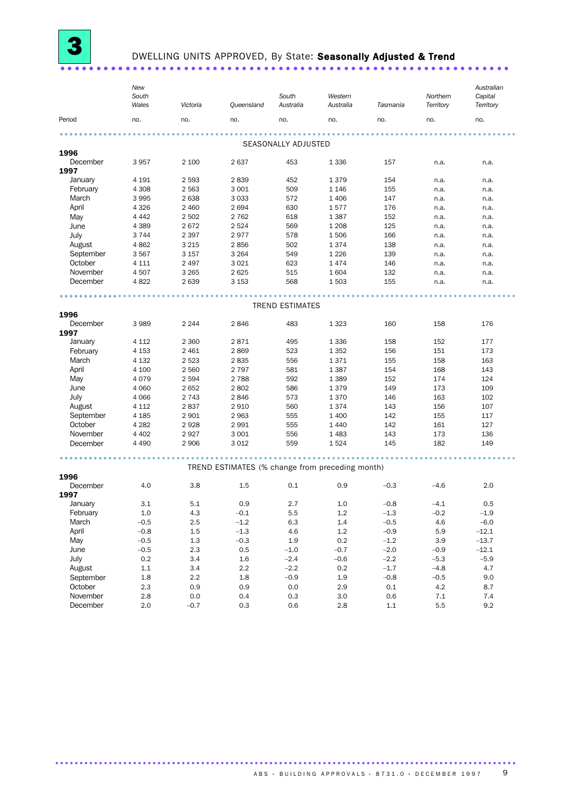# DWELLING UNITS APPROVED, By State: Seasonally Adjusted & Trend

|           | New<br>South<br>Wales | Victoria | Queensland                                      | South<br>Australia     | Western<br>Australia | Tasmania | Northern<br>Territory | Australian<br>Capital<br>Territory |  |
|-----------|-----------------------|----------|-------------------------------------------------|------------------------|----------------------|----------|-----------------------|------------------------------------|--|
| Period    | no.                   | no.      | no.                                             | no.                    | no.                  | no.      | no.                   | no.                                |  |
|           |                       |          |                                                 | SEASONALLY ADJUSTED    |                      |          |                       |                                    |  |
| 1996      |                       |          |                                                 |                        |                      |          |                       |                                    |  |
| December  | 3957                  | 2 100    | 2637                                            | 453                    | 1 3 3 6              | 157      | n.a.                  | n.a.                               |  |
| 1997      |                       |          |                                                 |                        |                      |          |                       |                                    |  |
| January   | 4 1 9 1               | 2 5 9 3  | 2839                                            | 452                    | 1379                 | 154      | n.a.                  | n.a.                               |  |
| February  | 4 3 0 8               | 2 5 6 3  | 3 0 0 1                                         | 509                    | 1 1 4 6              | 155      | n.a.                  | n.a.                               |  |
| March     | 3995                  | 2638     | 3033                                            | 572                    | 1 4 0 6              | 147      | n.a.                  | n.a.                               |  |
| April     | 4 3 2 6               | 2 4 6 0  | 2694                                            | 630                    | 1577                 | 176      | n.a.                  | n.a.                               |  |
| May       | 4 4 4 2               | 2 5 0 2  | 2 7 6 2                                         | 618                    | 1 3 8 7              | 152      | n.a.                  | n.a.                               |  |
| June      | 4 3 8 9               | 2672     | 2 5 2 4                                         | 569                    | 1 2 0 8              | 125      | n.a.                  | n.a.                               |  |
| July      | 3 7 4 4               | 2 3 9 7  | 2977                                            | 578                    | 1506                 | 166      | n.a.                  | n.a.                               |  |
| August    | 4862                  | 3 2 1 5  | 2856                                            | 502                    | 1374                 | 138      | n.a.                  | n.a.                               |  |
| September | 3567                  | 3 1 5 7  | 3 2 6 4                                         | 549                    | 1 2 2 6              | 139      | n.a.                  | n.a.                               |  |
| October   | 4 1 1 1               | 2 4 9 7  | 3 0 2 1                                         | 623                    | 1474                 | 146      | n.a.                  | n.a.                               |  |
| November  | 4507                  | 3 2 6 5  | 2625                                            | 515                    | 1604                 | 132      | n.a.                  | n.a.                               |  |
| December  | 4822                  | 2639     | 3 1 5 3                                         | 568                    | 1503                 | 155      | n.a.                  | n.a.                               |  |
|           |                       |          |                                                 |                        |                      |          |                       |                                    |  |
|           |                       |          |                                                 | <b>TREND ESTIMATES</b> |                      |          |                       |                                    |  |
| 1996      |                       |          |                                                 |                        |                      |          |                       |                                    |  |
| December  | 3989                  | 2 2 4 4  | 2846                                            | 483                    | 1 3 2 3              | 160      | 158                   | 176                                |  |
| 1997      |                       |          |                                                 |                        |                      |          |                       |                                    |  |
| January   | 4 1 1 2               | 2 3 6 0  | 2871                                            | 495                    | 1 3 3 6              | 158      | 152                   | 177                                |  |
| February  | 4 1 5 3               | 2 4 6 1  | 2869                                            | 523                    | 1 3 5 2              | 156      | 151                   | 173                                |  |
| March     | 4 1 3 2               | 2 5 2 3  | 2835                                            | 556                    | 1371                 | 155      | 158                   | 163                                |  |
| April     | 4 100                 | 2 5 6 0  | 2 7 9 7                                         | 581                    | 1 3 8 7              | 154      | 168                   | 143                                |  |
| May       | 4079                  | 2 5 9 4  | 2 7 8 8                                         | 592                    | 1 3 8 9              | 152      | 174                   | 124                                |  |
| June      | 4 0 6 0               | 2652     | 2802                                            | 586                    | 1379                 | 149      | 173                   | 109                                |  |
| July      | 4 0 6 6               | 2 7 4 3  | 2846                                            | 573                    | 1370                 | 146      | 163                   | 102                                |  |
| August    | 4 1 1 2               | 2837     | 2910                                            | 560                    | 1374                 | 143      | 156                   | 107                                |  |
| September | 4 1 8 5               | 2 9 0 1  | 2 9 6 3                                         | 555                    | 1 400                | 142      | 155                   | 117                                |  |
| October   | 4 2 8 2               | 2928     | 2 9 9 1                                         | 555                    | 1 4 4 0              | 142      | 161                   | 127                                |  |
| November  | 4 4 0 2               | 2927     | 3 0 0 1                                         | 556                    | 1 4 8 3              | 143      | 173                   | 136                                |  |
| December  | 4 4 9 0               | 2 9 0 6  | 3 0 1 2                                         | 559                    | 1524                 | 145      | 182                   | 149                                |  |
|           |                       |          |                                                 |                        |                      |          |                       |                                    |  |
| 1996      |                       |          | TREND ESTIMATES (% change from preceding month) |                        |                      |          |                       |                                    |  |
| December  | 4.0                   | 3.8      | 1.5                                             | 0.1                    | 0.9                  | $-0.3$   | $-4.6$                | 2.0                                |  |
| 1997      |                       |          |                                                 |                        |                      |          |                       |                                    |  |
| January   | 3.1                   | 5.1      | 0.9                                             | 2.7                    | 1.0                  | $-0.8$   | $-4.1$                | 0.5                                |  |
| February  | $1.0\,$               | 4.3      | $-0.1$                                          | 5.5                    | $1.2\,$              | $-1.3$   | $-0.2$                | $-1.9$                             |  |
| March     | $-0.5$                | 2.5      | $-1.2$                                          | 6.3                    | 1.4                  | $-0.5$   | 4.6                   | $-6.0$                             |  |
| April     | $-0.8$                | 1.5      | $-1.3$                                          | 4.6                    | $1.2\,$              | $-0.9$   | 5.9                   | $-12.1$                            |  |
| May       | $-0.5$                | 1.3      | $-0.3$                                          | $1.9\,$                | $0.2\,$              | $-1.2$   | 3.9                   | $-13.7$                            |  |
| June      | $-0.5$                | 2.3      | 0.5                                             | $-1.0$                 | $-0.7$               | $-2.0$   | $-0.9$                | $-12.1$                            |  |
| July      | 0.2                   | 3.4      | 1.6                                             | $-2.4$                 | $-0.6$               | $-2.2$   | $-5.3$                | $-5.9$                             |  |
| August    | 1.1                   | 3.4      | 2.2                                             | $-2.2$                 | 0.2                  | $-1.7$   | $-4.8$                | 4.7                                |  |
| September | 1.8                   | 2.2      | 1.8                                             | $-0.9$                 | 1.9                  | $-0.8$   | $-0.5$                | 9.0                                |  |
| October   | 2.3                   | 0.9      | 0.9                                             | 0.0                    | 2.9                  | 0.1      | 4.2                   | 8.7                                |  |
| November  | 2.8                   | 0.0      | 0.4                                             | 0.3                    | 3.0                  | 0.6      | 7.1                   | 7.4                                |  |
| December  | 2.0                   | $-0.7$   | 0.3                                             | 0.6                    | 2.8                  | 1.1      | 5.5                   | 9.2                                |  |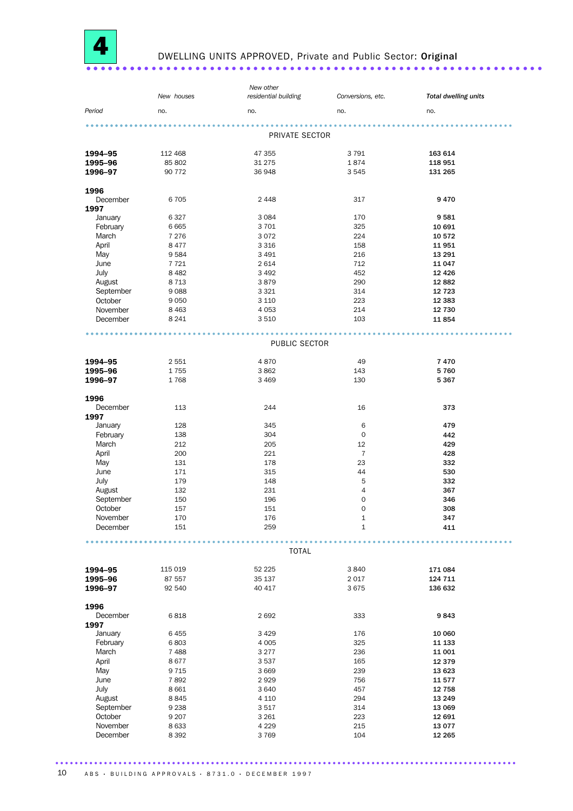

#### DWELLING UNITS APPROVED, Private and Public Sector: Original . . . . . . . . . . . .

|           |            | New other            |                   |                             |
|-----------|------------|----------------------|-------------------|-----------------------------|
|           | New houses | residential building | Conversions, etc. | <b>Total dwelling units</b> |
| Period    |            |                      |                   |                             |
|           | no.        | no.                  | no.               | no.                         |
|           |            |                      |                   |                             |
|           |            | PRIVATE SECTOR       |                   |                             |
|           |            |                      |                   |                             |
| 1994-95   | 112 468    | 47 355               | 3791              | 163 614                     |
| 1995-96   | 85 802     | 31 275               | 1874              | 118 951                     |
| 1996-97   | 90 772     | 36 948               | 3545              | 131 265                     |
|           |            |                      |                   |                             |
| 1996      |            |                      |                   |                             |
| December  | 6705       | 2 4 4 8              | 317               | 9470                        |
| 1997      |            |                      |                   |                             |
| January   | 6327       | 3 0 8 4              | 170               | 9581                        |
| February  | 6 6 6 5    | 3701                 | 325               | 10 691                      |
| March     | 7 2 7 6    | 3072                 | 224               | 10 572                      |
| April     | 8 4 7 7    | 3 3 1 6              | 158               | 11 951                      |
| May       | 9584       | 3 4 9 1              | 216               | 13 291                      |
| June      | 7721       | 2614                 | 712               | 11 047                      |
| July      | 8 4 8 2    | 3 4 9 2              | 452               | 12 4 26                     |
| August    | 8 7 1 3    | 3879                 | 290               | 12 882                      |
| September | 9088       | 3 3 2 1              | 314               | 12 7 23                     |
| October   | 9050       | 3 1 1 0              | 223               | 12 3 8 3                    |
| November  | 8 4 6 3    | 4 0 5 3              | 214               | 12 730                      |
| December  | 8 2 4 1    | 3510                 | 103               | 11854                       |
|           |            |                      |                   |                             |
|           |            | .                    |                   |                             |
|           |            | PUBLIC SECTOR        |                   |                             |
|           |            |                      |                   |                             |
| 1994-95   | 2 5 5 1    | 4870                 | 49                | 7470                        |
| 1995-96   | 1755       | 3862                 | 143               | 5760                        |
| 1996-97   | 1768       | 3 4 6 9              | 130               | 5 3 6 7                     |
|           |            |                      |                   |                             |
| 1996      |            |                      |                   |                             |
| December  | 113        | 244                  | 16                | 373                         |
| 1997      |            |                      |                   |                             |
| January   | 128        | 345                  | 6                 | 479                         |
| February  | 138        | 304                  | $\mathbf 0$       | 442                         |
| March     | 212        | 205                  | 12                | 429                         |
| April     | 200        | 221                  | $\overline{7}$    | 428                         |
| May       | 131        | 178                  | 23                | 332                         |
| June      | 171        | 315                  | 44                | 530                         |
| July      | 179        | 148                  | 5                 | 332                         |
| August    | 132        | 231                  | 4                 | 367                         |
| September | 150        | 196                  | 0                 | 346                         |
| October   | 157        | 151                  | 0                 | 308                         |
| November  | 170        | 176                  | 1                 | 347                         |
| December  | 151        | 259                  | $1\,$             | 411                         |
|           |            |                      |                   |                             |
|           |            | <b>TOTAL</b>         |                   |                             |
|           |            |                      |                   |                             |
| 1994-95   | 115 019    | 52 225               | 3840              | 171 084                     |
| 1995-96   | 87 557     | 35 137               | 2017              | 124 711                     |
| 1996-97   | 92 540     | 40 417               | 3675              | 136 632                     |
|           |            |                      |                   |                             |
| 1996      |            |                      |                   |                             |
| December  | 6818       | 2692                 | 333               | 9843                        |
| 1997      |            |                      |                   |                             |
| January   | 6455       | 3 4 2 9              | 176               | 10 060                      |
| February  | 6803       | 4 0 0 5              | 325               | 11 133                      |
| March     | 7488       | 3 2 7 7              | 236               | 11 001                      |
| April     | 8677       | 3537                 | 165               | 12 3 7 9                    |
| May       | 9 7 1 5    | 3 6 6 9              | 239               | 13 623                      |
| June      | 7892       | 2929                 | 756               | 11 577                      |
| July      | 8 6 6 1    | 3640                 | 457               | 12 758                      |
| August    | 8845       | 4 1 1 0              | 294               | 13 249                      |
| September | 9 2 3 8    | 3517                 | 314               | 13 069                      |
| October   | 9 2 0 7    | 3 2 6 1              | 223               | 12 691                      |
| November  | 8 6 3 3    | 4 2 2 9              | 215               | 13 0 77                     |
| December  | 8 3 9 2    | 3769                 | 104               | 12 265                      |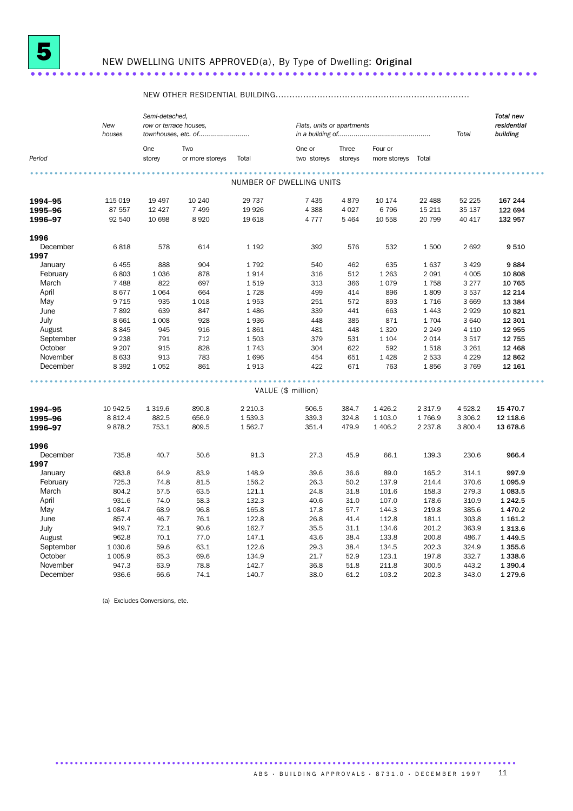

# NEW DWELLING UNITS APPROVED(a), By Type of Dwelling: Original

#### 

|           |             | Semi-detached, |                        |           |                          |                            |              |             |           | <b>Total new</b> |  |
|-----------|-------------|----------------|------------------------|-----------|--------------------------|----------------------------|--------------|-------------|-----------|------------------|--|
|           | New         |                | row or terrace houses. |           |                          | Flats, units or apartments |              |             |           |                  |  |
|           | houses      |                | townhouses, etc. of    |           |                          |                            |              |             | Total     | building         |  |
|           |             | One            | Two                    |           | One or                   | Three                      | Four or      |             |           |                  |  |
| Period    |             | storey         | or more storeys        | Total     | two storeys              | storeys                    | more storeys | Total       |           |                  |  |
|           |             |                |                        |           |                          |                            |              |             |           |                  |  |
|           |             |                |                        |           | NUMBER OF DWELLING UNITS |                            |              |             |           |                  |  |
| 1994-95   | 115 019     | 19 4 97        | 10 240                 | 29 7 37   | 7 4 3 5                  | 4879                       | 10 174       | 22 4 8 8    | 52 2 2 5  | 167 244          |  |
| 1995-96   | 87 557      | 12 4 27        | 7 4 9 9                | 19 9 26   | 4 3 8 8                  | 4 0 27                     | 6796         | 15 211      | 35 137    | 122 694          |  |
| 1996-97   | 92 540      | 10 698         | 8920                   | 19 618    | 4777                     | 5 4 6 4                    | 10 558       | 20 799      | 40 417    | 132 957          |  |
| 1996      |             |                |                        |           |                          |                            |              |             |           |                  |  |
| December  | 6818        | 578            | 614                    | 1 1 9 2   | 392                      | 576                        | 532          | 1500        | 2 6 9 2   | 9510             |  |
| 1997      |             |                |                        |           |                          |                            |              |             |           |                  |  |
| January   | 6455        | 888            | 904                    | 1792      | 540                      | 462                        | 635          | 1637        | 3 4 2 9   | 9884             |  |
| February  | 6803        | 1 0 3 6        | 878                    | 1914      | 316                      | 512                        | 1 2 6 3      | 2 0 9 1     | 4 0 0 5   | 10 808           |  |
|           |             |                |                        |           |                          |                            |              |             |           |                  |  |
| March     | 7 4 8 8     | 822            | 697                    | 1519      | 313                      | 366                        | 1079         | 1758        | 3 2 7 7   | 10 765           |  |
| April     | 8677        | 1 0 6 4        | 664                    | 1728      | 499                      | 414                        | 896          | 1809        | 3 5 3 7   | 12 214           |  |
| May       | 9 7 1 5     | 935            | 1 0 18                 | 1953      | 251                      | 572                        | 893          | 1 7 1 6     | 3 6 6 9   | 13 3 84          |  |
| June      | 7892        | 639            | 847                    | 1 4 8 6   | 339                      | 441                        | 663          | 1 4 4 3     | 2929      | 10821            |  |
| July      | 8 6 6 1     | 1 0 0 8        | 928                    | 1936      | 448                      | 385                        | 871          | 1 704       | 3 6 4 0   | 12 301           |  |
| August    | 8845        | 945            | 916                    | 1861      | 481                      | 448                        | 1 3 2 0      | 2 2 4 9     | 4 1 1 0   | 12 955           |  |
| September | 9 2 3 8     | 791            | 712                    | 1503      | 379                      | 531                        | 1 1 0 4      | 2 0 1 4     | 3517      | 12 755           |  |
| October   | 9 2 0 7     | 915            | 828                    | 1743      | 304                      | 622                        | 592          | 1518        | 3 2 6 1   | 12 4 68          |  |
| November  | 8633        | 913            | 783                    | 1696      | 454                      | 651                        | 1 4 2 8      | 2 5 3 3     | 4 2 2 9   | 12 862           |  |
| December  | 8 3 9 2     | 1 0 5 2        | 861                    | 1913      | 422                      | 671                        | 763          | 1856        | 3769      | 12 161           |  |
|           |             |                |                        |           |                          |                            |              |             |           |                  |  |
|           |             |                |                        |           | VALUE (\$ million)       |                            |              |             |           |                  |  |
| 1994-95   | 10 942.5    | 1 3 1 9.6      | 890.8                  | 2 2 1 0.3 | 506.5                    | 384.7                      | 1 4 2 6.2    | 2 3 1 7 . 9 | 4 5 28.2  | 15 470.7         |  |
| 1995-96   | 8 8 1 2.4   | 882.5          | 656.9                  | 1539.3    | 339.3                    | 324.8                      | 1 103.0      | 1766.9      | 3 3 0 6.2 | 12 118.6         |  |
| 1996-97   | 9878.2      | 753.1          | 809.5                  | 1562.7    | 351.4                    | 479.9                      | 1 406.2      | 2 2 3 7 . 8 | 3 800.4   | 13 678.6         |  |
| 1996      |             |                |                        |           |                          |                            |              |             |           |                  |  |
| December  | 735.8       | 40.7           | 50.6                   | 91.3      | 27.3                     | 45.9                       | 66.1         | 139.3       | 230.6     | 966.4            |  |
| 1997      |             |                |                        |           |                          |                            |              |             |           |                  |  |
| January   | 683.8       | 64.9           | 83.9                   | 148.9     | 39.6                     | 36.6                       | 89.0         | 165.2       | 314.1     | 997.9            |  |
| February  | 725.3       | 74.8           | 81.5                   | 156.2     | 26.3                     | 50.2                       | 137.9        | 214.4       | 370.6     | 1 0 9 5.9        |  |
| March     | 804.2       | 57.5           | 63.5                   | 121.1     | 24.8                     | 31.8                       | 101.6        | 158.3       | 279.3     | 1 083.5          |  |
|           | 931.6       | 74.0           | 58.3                   | 132.3     | 40.6                     | 31.0                       | 107.0        | 178.6       | 310.9     | 1 2 4 2.5        |  |
| April     |             |                |                        |           |                          |                            |              |             |           |                  |  |
| May       | 1 0 8 4 . 7 | 68.9           | 96.8                   | 165.8     | 17.8                     | 57.7                       | 144.3        | 219.8       | 385.6     | 1 4 7 0 . 2      |  |
| June      | 857.4       | 46.7           | 76.1                   | 122.8     | 26.8                     | 41.4                       | 112.8        | 181.1       | 303.8     | 1 1 6 1 .2       |  |
| July      | 949.7       | 72.1           | 90.6                   | 162.7     | 35.5                     | 31.1                       | 134.6        | 201.2       | 363.9     | 1 3 1 3 .6       |  |
| August    | 962.8       | 70.1           | 77.0                   | 147.1     | 43.6                     | 38.4                       | 133.8        | 200.8       | 486.7     | 1 4 4 9.5        |  |
| September | 1 0 3 0.6   | 59.6           | 63.1                   | 122.6     | 29.3                     | 38.4                       | 134.5        | 202.3       | 324.9     | 1 3 5 5.6        |  |
| October   | 1 0 0 5.9   | 65.3           | 69.6                   | 134.9     | 21.7                     | 52.9                       | 123.1        | 197.8       | 332.7     | 1 3 3 8.6        |  |
| November  | 947.3       | 63.9           | 78.8                   | 142.7     | 36.8                     | 51.8                       | 211.8        | 300.5       | 443.2     | 1 3 9 0.4        |  |
| December  | 936.6       | 66.6           | 74.1                   | 140.7     | 38.0                     | 61.2                       | 103.2        | 202.3       | 343.0     | 1 2 7 9.6        |  |

(a) Excludes Conversions, etc.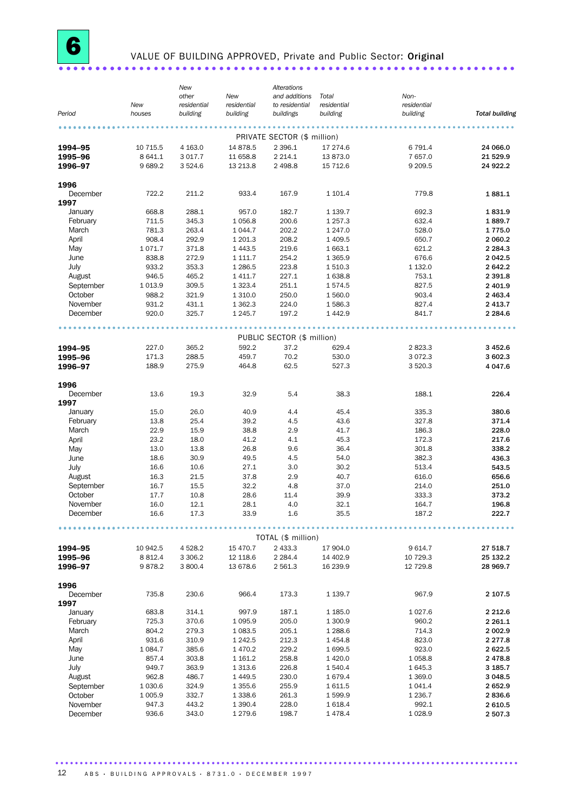#### VALUE OF BUILDING APPROVED, Private and Public Sector: Original . . . . . . . . . .

|                  |             | New         |             | Alterations                 |             |             |                       |
|------------------|-------------|-------------|-------------|-----------------------------|-------------|-------------|-----------------------|
|                  |             | other       | New         | and additions               | Total       | Non-        |                       |
|                  | New         | residential | residential | to residential              | residential | residential |                       |
| Period           | houses      | building    | building    | buildings                   | building    | building    | <b>Total building</b> |
|                  |             |             |             |                             |             |             |                       |
|                  |             |             |             |                             |             |             |                       |
|                  |             |             |             | PRIVATE SECTOR (\$ million) |             |             |                       |
| 1994-95          | 10 715.5    | 4 1 6 3 . 0 | 14 878.5    | 2 3 9 6.1                   | 17 274.6    | 6 791.4     | 24 066.0              |
| 1995-96          | 8 641.1     | 3 0 1 7 . 7 | 11 658.8    | 2 2 1 4 . 1                 | 13 873.0    | 7 657.0     | 21 5 29.9             |
| 1996-97          | 9689.2      | 3524.6      | 13 213.8    | 2 4 9 8.8                   | 15 712.6    | 9 2 0 9.5   | 24 922.2              |
|                  |             |             |             |                             |             |             |                       |
| 1996             |             |             |             |                             |             |             |                       |
| December         | 722.2       | 211.2       | 933.4       | 167.9                       | 1 101.4     | 779.8       | 1881.1                |
| 1997             |             |             |             |                             |             |             |                       |
| January          | 668.8       | 288.1       | 957.0       | 182.7                       | 1 1 3 9.7   | 692.3       | 1831.9                |
|                  |             |             |             |                             |             |             |                       |
| February         | 711.5       | 345.3       | 1 0 5 6.8   | 200.6                       | 1 2 5 7 . 3 | 632.4       | 1889.7                |
| March            | 781.3       | 263.4       | 1 0 4 4.7   | 202.2                       | 1 247.0     | 528.0       | 1775.0                |
| April            | 908.4       | 292.9       | 1 201.3     | 208.2                       | 1 4 0 9.5   | 650.7       | 2 060.2               |
| May              | 1071.7      | 371.8       | 1 4 4 3.5   | 219.6                       | 1663.1      | 621.2       | 2 2 8 4 . 3           |
| June             | 838.8       | 272.9       | 1 1 1 1 .7  | 254.2                       | 1 3 6 5.9   | 676.6       | 2 042.5               |
|                  |             |             |             |                             |             |             |                       |
| July             | 933.2       | 353.3       | 1 2 8 6.5   | 223.8                       | 1 510.3     | 1 132.0     | 2 642.2               |
| August           | 946.5       | 465.2       | 1 4 1 1.7   | 227.1                       | 1638.8      | 753.1       | 2 3 9 1.8             |
| September        | 1 0 1 3 .9  | 309.5       | 1 3 2 3 . 4 | 251.1                       | 1574.5      | 827.5       | 2 401.9               |
| October          | 988.2       | 321.9       | 1 3 1 0.0   | 250.0                       | 1560.0      | 903.4       | 2 4 6 3.4             |
| November         | 931.2       | 431.1       |             | 224.0                       | 1586.3      | 827.4       | 2 4 1 3.7             |
|                  |             |             | 1 3 6 2.3   |                             |             |             |                       |
| December         | 920.0       | 325.7       | 1 2 4 5 . 7 | 197.2                       | 1442.9      | 841.7       | 2 2 8 4 . 6           |
|                  |             |             |             |                             |             |             |                       |
|                  |             |             |             | PUBLIC SECTOR (\$ million)  |             |             |                       |
| 1994-95          | 227.0       | 365.2       | 592.2       | 37.2                        | 629.4       | 2 823.3     | 3 4 5 2.6             |
|                  |             |             |             |                             |             |             |                       |
| 1995-96          | 171.3       | 288.5       | 459.7       | 70.2                        | 530.0       | 3 0 7 2.3   | 3 602.3               |
| 1996-97          | 188.9       | 275.9       | 464.8       | 62.5                        | 527.3       | 3 5 20.3    | 4 047.6               |
|                  |             |             |             |                             |             |             |                       |
| 1996<br>December | 13.6        | 19.3        | 32.9        | 5.4                         | 38.3        | 188.1       | 226.4                 |
|                  |             |             |             |                             |             |             |                       |
| 1997             |             |             |             |                             |             |             |                       |
| January          | 15.0        | 26.0        | 40.9        | 4.4                         | 45.4        | 335.3       | 380.6                 |
| February         | 13.8        | 25.4        | 39.2        | 4.5                         | 43.6        | 327.8       | 371.4                 |
| March            | 22.9        | 15.9        | 38.8        | 2.9                         | 41.7        | 186.3       | 228.0                 |
| April            | 23.2        | 18.0        | 41.2        | 4.1                         | 45.3        | 172.3       | 217.6                 |
|                  |             |             |             |                             |             |             |                       |
| May              | 13.0        | 13.8        | 26.8        | 9.6                         | 36.4        | 301.8       | 338.2                 |
| June             | 18.6        | 30.9        | 49.5        | 4.5                         | 54.0        | 382.3       | 436.3                 |
| July             | 16.6        | 10.6        | 27.1        | 3.0                         | 30.2        | 513.4       | 543.5                 |
| August           | 16.3        | 21.5        | 37.8        | 2.9                         | 40.7        | 616.0       | 656.6                 |
| September        |             | 15.5        | 32.2        |                             | 37.0        | 214.0       |                       |
|                  | 16.7        |             |             | 4.8                         |             |             | 251.0                 |
| October          | 17.7        | 10.8        | 28.6        | 11.4                        | 39.9        | 333.3       | 373.2                 |
| November         | 16.0        | 12.1        | 28.1        | 4.0                         | 32.1        | 164.7       | 196.8                 |
| December         | 16.6        | 17.3        | 33.9        | 1.6                         | 35.5        | 187.2       | 222.7                 |
|                  |             |             |             |                             |             |             |                       |
|                  |             |             |             | TOTAL (\$ million)          |             |             |                       |
| 1994-95          | 10 942.5    | 4 5 28.2    | 15 470.7    | 2 433.3                     | 17 904.0    | 9614.7      | 27 518.7              |
|                  |             |             |             |                             |             |             |                       |
| 1995-96          | 8 8 1 2.4   | 3 3 0 6.2   | 12 118.6    | 2 2 8 4 . 4                 | 14 402.9    | 10 729.3    | 25 132.2              |
| 1996-97          | 9878.2      | 3 800.4     | 13 678.6    | 2 5 6 1.3                   | 16 239.9    | 12 729.8    | 28 969.7              |
|                  |             |             |             |                             |             |             |                       |
| 1996<br>December | 735.8       | 230.6       | 966.4       | 173.3                       | 1 139.7     | 967.9       | 2 107.5               |
|                  |             |             |             |                             |             |             |                       |
| 1997             |             |             |             |                             |             |             |                       |
| January          | 683.8       | 314.1       | 997.9       | 187.1                       | 1 185.0     | 1 0 27.6    | 2 2 1 2 . 6           |
| February         | 725.3       | 370.6       | 1 0 9 5.9   | 205.0                       | 1 300.9     | 960.2       | 2 2 6 1.1             |
| March            | 804.2       | 279.3       | 1 0 8 3.5   | 205.1                       | 1288.6      | 714.3       | 2 002.9               |
| April            | 931.6       | 310.9       | 1 2 4 2.5   | 212.3                       | 1454.8      | 823.0       | 2 277.8               |
|                  |             |             |             |                             |             |             |                       |
| May              | 1 0 8 4 . 7 | 385.6       | 1 470.2     | 229.2                       | 1699.5      | 923.0       | 2622.5                |
| June             | 857.4       | 303.8       | 1 1 6 1 . 2 | 258.8                       | 1 4 2 0.0   | 1 0 58.8    | 2478.8                |
| July             | 949.7       | 363.9       | 1 3 1 3 .6  | 226.8                       | 1540.4      | 1 645.3     | 3 185.7               |
| August           | 962.8       | 486.7       | 1449.5      | 230.0                       | 1679.4      | 1 369.0     | 3 048.5               |
| September        | 1 0 3 0.6   | 324.9       | 1 3 5 5.6   | 255.9                       | 1611.5      | 1 0 4 1.4   | 2652.9                |
|                  |             |             |             |                             |             |             |                       |
| October          | 1 005.9     | 332.7       | 1 3 3 8.6   | 261.3                       | 1599.9      | 1 2 3 6.7   | 2836.6                |
| November         | 947.3       | 443.2       | 1 3 9 0.4   | 228.0                       | 1618.4      | 992.1       | 2610.5                |
| December         | 936.6       | 343.0       | 1 279.6     | 198.7                       | 1478.4      | 1 0 28.9    | 2 507.3               |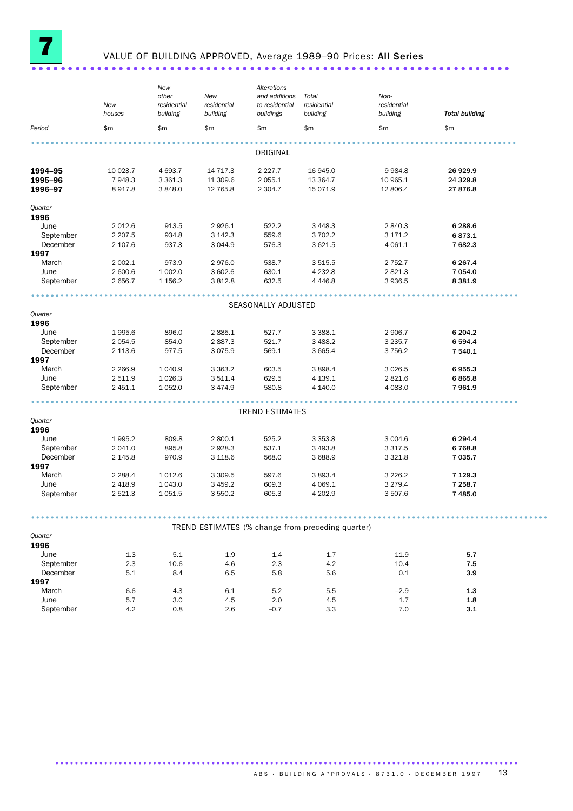

## VALUE OF BUILDING APPROVED, Average 1989-90 Prices: All Series

|                       | New<br>houses         | New<br>other<br>residential<br>building | New<br>residential<br>building | Alterations<br>and additions<br>to residential<br>buildings | Total<br>residential<br>building | Non-<br>residential<br>building | <b>Total building</b> |  |
|-----------------------|-----------------------|-----------------------------------------|--------------------------------|-------------------------------------------------------------|----------------------------------|---------------------------------|-----------------------|--|
| Period                | \$m                   | \$m                                     | \$m                            | \$m                                                         | \$m                              | \$m                             | \$m                   |  |
|                       |                       |                                         |                                |                                                             |                                  |                                 |                       |  |
|                       |                       |                                         |                                | ORIGINAL                                                    |                                  |                                 |                       |  |
| 1994-95               | 10 023.7              | 4 693.7                                 | 14 717.3                       | 2 2 2 7 . 7                                                 | 16 945.0                         | 9 9 8 4.8                       | 26 929.9              |  |
| 1995-96               | 7948.3                | 3 3 6 1.3                               | 11 309.6                       | 2 0 5 5.1                                                   | 13 3 64.7                        | 10 965.1                        | 24 329.8              |  |
| 1996-97               | 8917.8                | 3848.0                                  | 12 765.8                       | 2 3 0 4.7                                                   | 15 071.9                         | 12 806.4                        | 27 876.8              |  |
| Quarter               |                       |                                         |                                |                                                             |                                  |                                 |                       |  |
| 1996                  |                       |                                         |                                |                                                             |                                  |                                 |                       |  |
| June                  | 2 0 1 2.6             | 913.5                                   | 2926.1                         | 522.2                                                       | 3 4 4 8 . 3                      | 2 840.3                         | 6 288.6               |  |
| September             | 2 2 0 7.5             | 934.8                                   | 3 142.3                        | 559.6                                                       | 3 702.2                          | 3 171.2                         | 6873.1                |  |
| December              | 2 107.6               | 937.3                                   | 3 0 4 4.9                      | 576.3                                                       | 3 6 2 1.5                        | 4 0 6 1.1                       | 7 682.3               |  |
| 1997                  |                       |                                         |                                |                                                             |                                  |                                 |                       |  |
| March                 | 2 002.1               | 973.9                                   | 2976.0                         | 538.7                                                       | 3 5 1 5 .5                       | 2 7 5 2.7                       | 6 2 6 7 . 4           |  |
| June                  | 2 600.6               | 1 002.0                                 | 3 602.6                        | 630.1                                                       | 4 2 3 2.8                        | 2821.3                          | 7 054.0               |  |
| September             | 2 656.7               | 1 1 5 6.2                               | 3812.8                         | 632.5                                                       | 4 4 4 6.8                        | 3936.5                          | 8 3 8 1.9             |  |
|                       |                       |                                         |                                |                                                             |                                  |                                 |                       |  |
|                       |                       |                                         |                                | SEASONALLY ADJUSTED                                         |                                  |                                 |                       |  |
| Quarter               |                       |                                         |                                |                                                             |                                  |                                 |                       |  |
| 1996<br>June          | 1995.6                | 896.0                                   | 2885.1                         | 527.7                                                       | 3 3 8 8.1                        | 2 906.7                         | 6 204.2               |  |
| September             | 2 0 5 4 .5            | 854.0                                   | 2887.3                         | 521.7                                                       | 3 4 8 8.2                        | 3 2 3 5.7                       | 6 5 9 4.4             |  |
| December              | 2 1 1 3.6             | 977.5                                   | 3075.9                         | 569.1                                                       | 3 6 6 5.4                        | 3 7 5 6.2                       | 7 540.1               |  |
| 1997                  |                       |                                         |                                |                                                             |                                  |                                 |                       |  |
| March                 | 2 2 6 6.9             | 1 040.9                                 | 3 3 6 3 . 2                    | 603.5                                                       | 3 8 9 8.4                        | 3 0 26.5                        | 6955.3                |  |
| June                  | 2 511.9               | 1 0 26.3                                | 3511.4                         | 629.5                                                       | 4 139.1                          | 2821.6                          | 6865.8                |  |
| September             | 2 451.1               | 1 0 5 2.0                               | 3 4 7 4 .9                     | 580.8                                                       | 4 140.0                          | 4 0 8 3 . 0                     | 7 961.9               |  |
|                       |                       |                                         |                                |                                                             |                                  |                                 |                       |  |
|                       |                       |                                         |                                | <b>TREND ESTIMATES</b>                                      |                                  |                                 |                       |  |
| Quarter               |                       |                                         |                                |                                                             |                                  |                                 |                       |  |
| 1996                  |                       |                                         |                                |                                                             |                                  |                                 |                       |  |
| June                  | 1995.2                | 809.8                                   | 2 800.1                        | 525.2                                                       | 3 3 5 3 . 8                      | 3 0 0 4.6                       | 6 294.4               |  |
| September             | 2 041.0               | 895.8                                   | 2928.3                         | 537.1                                                       | 3 4 9 3.8                        | 3 3 1 7 .5                      | 6768.8                |  |
| December              | 2 145.8               | 970.9                                   | 3 1 18.6                       | 568.0                                                       | 3 688.9                          | 3 3 2 1.8                       | 7 035.7               |  |
| 1997                  |                       |                                         |                                |                                                             |                                  |                                 |                       |  |
| March                 | 2 2 8 8.4             | 1 0 1 2.6                               | 3 3 0 9.5                      | 597.6                                                       | 3893.4                           | 3 2 2 6.2                       | 7 1 2 9 . 3           |  |
| June<br>September     | 2 4 18.9<br>2 5 2 1.3 | 1 043.0<br>1 0 5 1.5                    | 3 4 5 9.2<br>3 550.2           | 609.3<br>605.3                                              | 4 0 69.1<br>4 202.9              | 3 2 7 9 . 4<br>3 507.6          | 7 258.7<br>7 485.0    |  |
|                       |                       |                                         |                                |                                                             |                                  |                                 |                       |  |
|                       |                       |                                         |                                |                                                             |                                  |                                 |                       |  |
|                       |                       |                                         |                                | TREND ESTIMATES (% change from preceding quarter)           |                                  |                                 |                       |  |
| Quarter               |                       |                                         |                                |                                                             |                                  |                                 |                       |  |
| 1996                  |                       |                                         |                                |                                                             |                                  |                                 |                       |  |
| June                  | 1.3                   | 5.1                                     | 1.9                            | 1.4                                                         | 1.7                              | 11.9                            | 5.7                   |  |
| September<br>December | 2.3                   | 10.6                                    | 4.6                            | 2.3                                                         | 4.2                              | 10.4                            | 7.5                   |  |
| 1997                  | 5.1                   | 8.4                                     | 6.5                            | 5.8                                                         | 5.6                              | 0.1                             | 3.9                   |  |
| March                 | 6.6                   | 4.3                                     | 6.1                            | 5.2                                                         | 5.5                              | $-2.9$                          | $1.3\,$               |  |
| June                  | 5.7                   | 3.0                                     | 4.5                            | 2.0                                                         | 4.5                              | 1.7                             | 1.8                   |  |
| September             | 4.2                   | 0.8                                     | 2.6                            | $-0.7$                                                      | 3.3                              | 7.0                             | 3.1                   |  |
|                       |                       |                                         |                                |                                                             |                                  |                                 |                       |  |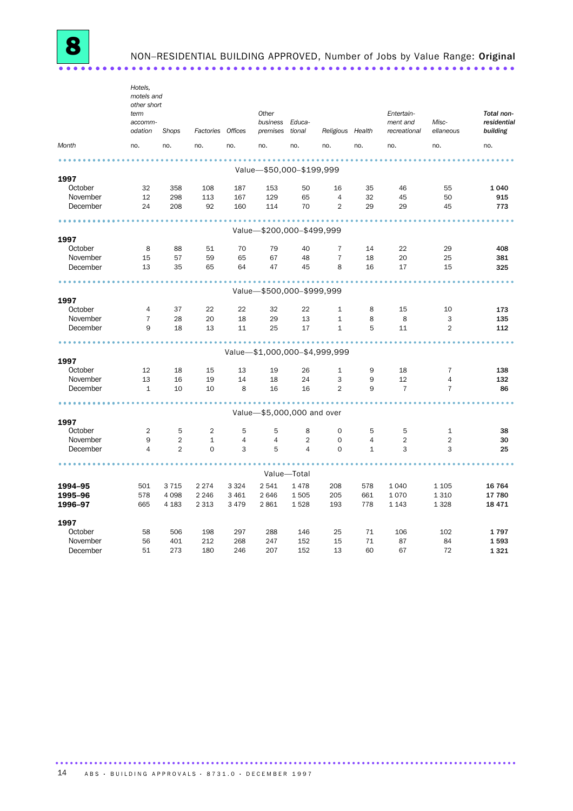NON-RESIDENTIAL BUILDING APPROVED, Number of Jobs by Value Range: Original 

|                 | Hotels,<br>motels and<br>other short<br>term<br>accomm- |                |                   |                | Other<br>business Educa-      |                |                  |                | Entertain-<br>ment and | Misc-          | Total non-<br>residential |
|-----------------|---------------------------------------------------------|----------------|-------------------|----------------|-------------------------------|----------------|------------------|----------------|------------------------|----------------|---------------------------|
|                 | odation                                                 | Shops          | Factories Offices |                | premises tional               |                | Religious Health |                | recreational           | ellaneous      | building                  |
| Month           | no.                                                     | no.            | no.               | no.            | no.                           | no.            | no.              | no.            | no.                    | no.            | no.                       |
|                 |                                                         |                |                   |                |                               |                |                  |                |                        |                |                           |
| 1997            |                                                         |                |                   |                | Value-\$50,000-\$199,999      |                |                  |                |                        |                |                           |
| October         | 32                                                      | 358            | 108               | 187            | 153                           | 50             | 16               | 35             | 46                     | 55             | 1 0 4 0                   |
| November        | 12                                                      | 298            | 113               | 167            | 129                           | 65             | $\overline{4}$   | 32             | 45                     | 50             | 915                       |
| December        | 24                                                      | 208            | 92                | 160            | 114                           | 70             | $\mathbf{2}$     | 29             | 29                     | 45             | 773                       |
|                 |                                                         |                |                   |                |                               |                |                  |                |                        |                |                           |
| 1997            |                                                         |                |                   |                | Value-\$200,000-\$499,999     |                |                  |                |                        |                |                           |
| October         | 8                                                       | 88             | 51                | 70             | 79                            | 40             | $\overline{7}$   | 14             | 22                     | 29             | 408                       |
| November        | 15                                                      | 57             | 59                | 65             | 67                            | 48             | $\overline{7}$   | 18             | 20                     | 25             | 381                       |
| December        | 13                                                      | 35             | 65                | 64             | 47                            | 45             | 8                | 16             | 17                     | 15             | 325                       |
|                 |                                                         |                |                   |                |                               |                |                  |                |                        |                |                           |
|                 |                                                         |                |                   |                | Value-\$500,000-\$999,999     |                |                  |                |                        |                |                           |
| 1997            |                                                         |                |                   |                |                               |                |                  |                |                        |                |                           |
| October         | 4                                                       | 37             | 22                | 22             | 32                            | 22             | $\mathbf{1}$     | 8              | 15                     | 10             | 173                       |
| November        | $\overline{7}$                                          | 28             | 20                | 18             | 29                            | 13             | $\mathbf{1}$     | 8              | 8                      | 3              | 135                       |
| December        | 9                                                       | 18             | 13                | 11             | 25                            | 17             | $\mathbf{1}$     | 5              | 11                     | $\overline{2}$ | 112                       |
|                 |                                                         |                |                   |                |                               |                |                  |                |                        |                |                           |
|                 |                                                         |                |                   |                | Value-\$1,000,000-\$4,999,999 |                |                  |                |                        |                |                           |
| 1997<br>October | 12                                                      | 18             | 15                | 13             | 19                            | 26             | $\mathbf{1}$     | 9              | 18                     | 7              | 138                       |
| November        | 13                                                      | 16             | 19                | 14             | 18                            | 24             | 3                | 9              | 12                     | $\overline{4}$ | 132                       |
| December        | $\mathbf{1}$                                            | 10             | 10                | 8              | 16                            | 16             | $\overline{2}$   | 9              | $\overline{7}$         | $\overline{7}$ | 86                        |
|                 |                                                         |                |                   |                |                               |                |                  |                |                        |                |                           |
|                 |                                                         |                |                   |                | Value-\$5,000,000 and over    |                |                  |                |                        |                |                           |
| 1997            |                                                         |                |                   |                |                               |                |                  |                |                        |                |                           |
| October         | 2                                                       | 5              | 2                 | 5              | 5                             | 8              | 0                | 5              | 5                      | $\mathbf 1$    | 38                        |
| November        | 9                                                       | 2              | $\mathbf{1}$      | $\overline{4}$ | $\overline{4}$                | $\overline{2}$ | $\Omega$         | $\overline{4}$ | $\overline{2}$         | $\overline{2}$ | 30                        |
| December        | $\overline{4}$                                          | $\overline{2}$ | $\mathbf 0$       | 3              | 5                             | $\overline{4}$ | $\mathbf 0$      | $\mathbf{1}$   | 3                      | 3              | 25                        |
|                 |                                                         |                |                   |                |                               | Value-Total    |                  |                |                        |                |                           |
| 1994–95         | 501                                                     | 3715           | 2 2 7 4           | 3 3 2 4        | 2541                          | 1478           | 208              | 578            | 1 0 4 0                | 1 1 0 5        | 16 764                    |
| 1995-96         | 578                                                     | 4 0 9 8        | 2 2 4 6           | 3 4 6 1        | 2646                          | 1505           | 205              | 661            | 1070                   | 1 3 1 0        | 17 780                    |
| 1996-97         | 665                                                     | 4 1 8 3        | 2 3 1 3           | 3 4 7 9        | 2861                          | 1528           | 193              | 778            | 1 1 4 3                | 1 3 2 8        | 18 471                    |
| 1997            |                                                         |                |                   |                |                               |                |                  |                |                        |                |                           |
| October         | 58                                                      | 506            | 198               | 297            | 288                           | 146            | 25               | 71             | 106                    | 102            | 1797                      |
| November        | 56                                                      | 401            | 212               | 268            | 247                           | 152            | 15               | 71             | 87                     | 84             | 1593                      |
| December        | 51                                                      | 273            | 180               | 246            | 207                           | 152            | 13               | 60             | 67                     | 72             | 1 3 2 1                   |
|                 |                                                         |                |                   |                |                               |                |                  |                |                        |                |                           |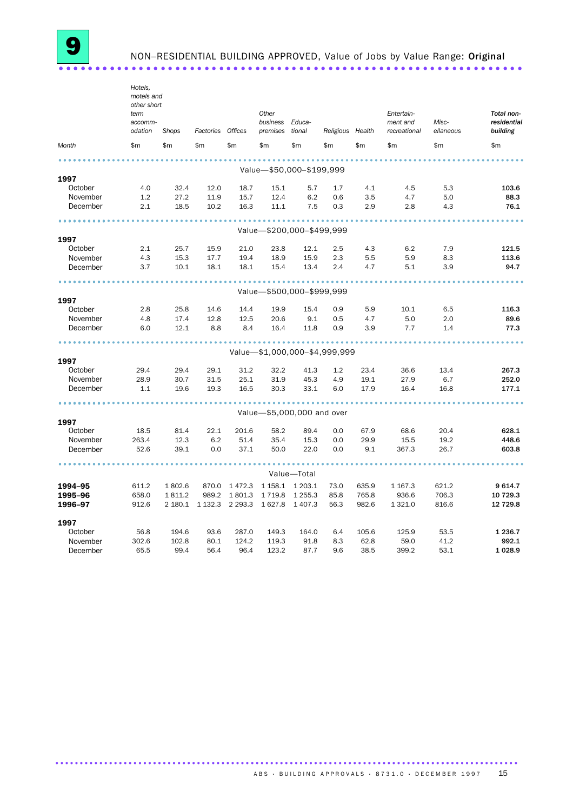NON-RESIDENTIAL BUILDING APPROVED, Value of Jobs by Value Range: Original 

|                     | Hotels,<br>motels and<br>other short<br>term<br>accomm- |              |                   |              | Other<br>business | Educa-                        |                  |             | Entertain-<br>ment and | Misc-        | Total non-<br>residential |
|---------------------|---------------------------------------------------------|--------------|-------------------|--------------|-------------------|-------------------------------|------------------|-------------|------------------------|--------------|---------------------------|
| odation             |                                                         | <b>Shops</b> | Factories Offices |              | premises          | tional                        | Religious Health |             | recreational           | ellaneous    | building                  |
| Month               | \$m                                                     | \$m\$        | \$m               | \$m          | \$m               | \$m                           | \$m              | \$m         | \$m                    | \$m          | \$m                       |
|                     |                                                         |              |                   |              |                   |                               |                  |             |                        |              |                           |
| 1997                |                                                         |              |                   |              |                   | Value-\$50,000-\$199,999      |                  |             |                        |              |                           |
| October             | 4.0                                                     | 32.4         | 12.0              | 18.7         | 15.1              | 5.7                           | 1.7              | 4.1         | 4.5                    | 5.3          | 103.6                     |
| November            | 1.2                                                     | 27.2         | 11.9              | 15.7         | 12.4              | 6.2                           | 0.6              | 3.5         | 4.7                    | 5.0          | 88.3                      |
| December            | 2.1                                                     | 18.5         | 10.2              | 16.3         | 11.1              | 7.5                           | 0.3              | 2.9         | 2.8                    | 4.3          | 76.1                      |
|                     |                                                         |              |                   |              |                   |                               |                  |             |                        |              |                           |
|                     |                                                         |              |                   |              |                   | Value-\$200,000-\$499,999     |                  |             |                        |              |                           |
| 1997                |                                                         |              |                   |              |                   |                               |                  |             |                        |              |                           |
| October             | 2.1                                                     | 25.7         | 15.9              | 21.0         | 23.8              | 12.1                          | 2.5              | 4.3         | 6.2                    | 7.9          | 121.5                     |
| November            | 4.3                                                     | 15.3         | 17.7              | 19.4         | 18.9              | 15.9                          | 2.3              | 5.5         | 5.9                    | 8.3          | 113.6                     |
| December            | 3.7                                                     | 10.1         | 18.1              | 18.1         | 15.4              | 13.4                          | 2.4              | 4.7         | 5.1                    | 3.9          | 94.7                      |
|                     |                                                         |              |                   |              |                   |                               |                  |             |                        |              |                           |
|                     |                                                         |              |                   |              |                   | Value-\$500,000-\$999,999     |                  |             |                        |              |                           |
| 1997<br>October     | 2.8                                                     |              |                   |              | 19.9              | 15.4                          |                  |             |                        |              | 116.3                     |
| November            | 4.8                                                     | 25.8<br>17.4 | 14.6<br>12.8      | 14.4<br>12.5 | 20.6              | 9.1                           | 0.9<br>0.5       | 5.9<br>4.7  | 10.1<br>5.0            | 6.5<br>2.0   | 89.6                      |
| December            | 6.0                                                     | 12.1         | 8.8               | 8.4          | 16.4              | 11.8                          | 0.9              | 3.9         | 7.7                    | 1.4          | 77.3                      |
|                     |                                                         |              |                   |              |                   |                               |                  |             |                        |              |                           |
|                     |                                                         |              |                   |              |                   | Value-\$1,000,000-\$4,999,999 |                  |             |                        |              |                           |
| 1997                |                                                         |              |                   |              |                   |                               |                  |             |                        |              |                           |
| October             | 29.4                                                    | 29.4         | 29.1              | 31.2         | 32.2              | 41.3                          | 1.2              | 23.4        | 36.6                   | 13.4         | 267.3                     |
| November            | 28.9                                                    | 30.7         | 31.5              | 25.1         | 31.9              | 45.3                          | 4.9              | 19.1        | 27.9                   | 6.7          | 252.0                     |
| December            | 1.1                                                     | 19.6         | 19.3              | 16.5         | 30.3              | 33.1                          | 6.0              | 17.9        | 16.4                   | 16.8         | 177.1                     |
|                     |                                                         |              |                   |              |                   |                               |                  |             |                        |              |                           |
|                     |                                                         |              |                   |              |                   | Value-\$5,000,000 and over    |                  |             |                        |              |                           |
| 1997                |                                                         |              |                   |              |                   |                               |                  |             |                        |              |                           |
| October<br>November | 18.5                                                    | 81.4         | 22.1              | 201.6        | 58.2              | 89.4                          | 0.0              | 67.9        | 68.6                   | 20.4         | 628.1                     |
| December            | 263.4<br>52.6                                           | 12.3<br>39.1 | 6.2<br>0.0        | 51.4<br>37.1 | 35.4<br>50.0      | 15.3<br>22.0                  | 0.0<br>0.0       | 29.9<br>9.1 | 15.5<br>367.3          | 19.2<br>26.7 | 448.6<br>603.8            |
|                     |                                                         |              |                   |              |                   |                               |                  |             |                        |              |                           |
|                     |                                                         |              |                   |              |                   | Value-Total                   |                  |             |                        |              |                           |
| 1994-95             | 611.2                                                   | 1802.6       | 870.0             | 1472.3       | 1 1 58.1          | 1 203.1                       | 73.0             | 635.9       | 1 167.3                | 621.2        | 9614.7                    |
| 1995-96             | 658.0                                                   | 1811.2       | 989.2             | 1801.3       | 1719.8            | 1 2 5 5 . 3                   | 85.8             | 765.8       | 936.6                  | 706.3        | 10 729.3                  |
| 1996-97             | 912.6                                                   | 2 180.1      | 1 1 3 2 . 3       | 2 2 9 3 . 3  | 1627.8            | 1 4 0 7 .3                    | 56.3             | 982.6       | 1 3 2 1 .0             | 816.6        | 12 729.8                  |
| 1997                |                                                         |              |                   |              |                   |                               |                  |             |                        |              |                           |
| October             | 56.8                                                    | 194.6        | 93.6              | 287.0        | 149.3             | 164.0                         | 6.4              | 105.6       | 125.9                  | 53.5         | 1 2 3 6.7                 |
| November            | 302.6                                                   | 102.8        | 80.1              | 124.2        | 119.3             | 91.8                          | 8.3              | 62.8        | 59.0                   | 41.2         | 992.1                     |
| December            | 65.5                                                    | 99.4         | 56.4              | 96.4         | 123.2             | 87.7                          | 9.6              | 38.5        | 399.2                  | 53.1         | 1028.9                    |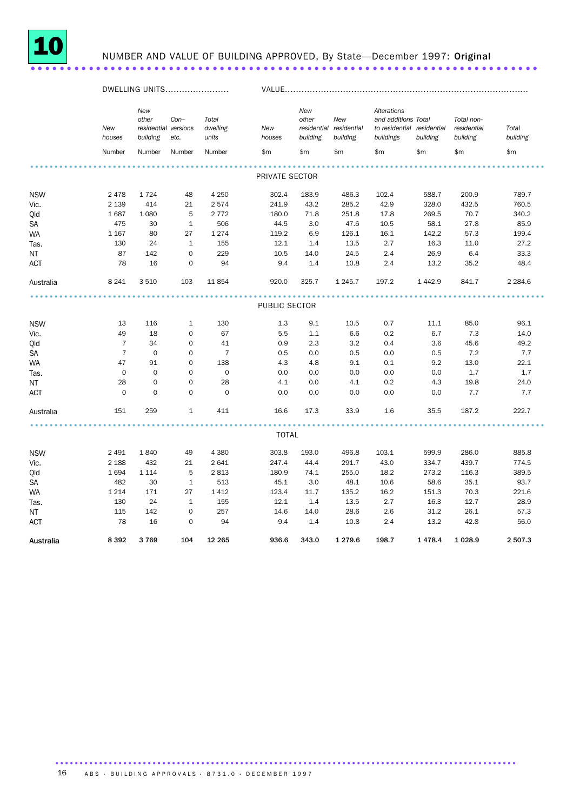

## NUMBER AND VALUE OF BUILDING APPROVED, By State-December 1997: Original

|            | DWELLING UNITS |                                                  |                |                            |                | VALUE                    |                                            |                                                                               |          |                                       |                   |  |
|------------|----------------|--------------------------------------------------|----------------|----------------------------|----------------|--------------------------|--------------------------------------------|-------------------------------------------------------------------------------|----------|---------------------------------------|-------------------|--|
|            | New<br>houses  | New<br>other<br>residential versions<br>building | $Con-$<br>etc. | Total<br>dwelling<br>units | New<br>houses  | New<br>other<br>building | New<br>residential residential<br>building | Alterations<br>and additions Total<br>to residential residential<br>buildings | building | Total non-<br>residential<br>building | Total<br>building |  |
|            | Number         | Number                                           | Number         | Number                     | \$m\$          | \$m                      | \$m                                        | \$m                                                                           | \$m      | \$m                                   | \$m\$             |  |
|            |                |                                                  |                |                            | PRIVATE SECTOR |                          |                                            |                                                                               |          |                                       |                   |  |
|            |                |                                                  |                |                            |                |                          |                                            |                                                                               |          |                                       |                   |  |
| <b>NSW</b> | 2478           | 1724                                             | 48             | 4 2 5 0                    | 302.4          | 183.9                    | 486.3                                      | 102.4                                                                         | 588.7    | 200.9                                 | 789.7             |  |
| Vic.       | 2 1 3 9        | 414                                              | 21             | 2574                       | 241.9          | 43.2                     | 285.2                                      | 42.9                                                                          | 328.0    | 432.5                                 | 760.5             |  |
| Old        | 1687           | 1 0 8 0                                          | 5              | 2 7 7 2                    | 180.0          | 71.8                     | 251.8                                      | 17.8                                                                          | 269.5    | 70.7                                  | 340.2             |  |
| SA         | 475            | 30                                               | $\mathbf{1}$   | 506                        | 44.5           | 3.0                      | 47.6                                       | 10.5                                                                          | 58.1     | 27.8                                  | 85.9              |  |
| <b>WA</b>  | 1 1 6 7        | 80                                               | 27             | 1 2 7 4                    | 119.2          | 6.9                      | 126.1                                      | 16.1                                                                          | 142.2    | 57.3                                  | 199.4             |  |
| Tas.       | 130            | 24                                               | $\mathbf{1}$   | 155                        | 12.1           | 1.4                      | 13.5                                       | 2.7                                                                           | 16.3     | 11.0                                  | 27.2              |  |
| NT         | 87             | 142                                              | $\mathbf 0$    | 229                        | 10.5           | 14.0                     | 24.5                                       | 2.4                                                                           | 26.9     | 6.4                                   | 33.3              |  |
| <b>ACT</b> | 78             | 16                                               | $\Omega$       | 94                         | 9.4            | 1.4                      | 10.8                                       | 2.4                                                                           | 13.2     | 35.2                                  | 48.4              |  |
| Australia  | 8 2 4 1        | 3510                                             | 103            | 11854                      | 920.0          | 325.7                    | 1 2 4 5 . 7                                | 197.2                                                                         | 1442.9   | 841.7                                 | 2 2 8 4.6         |  |
|            |                |                                                  |                |                            |                |                          |                                            |                                                                               |          |                                       |                   |  |
|            |                |                                                  |                |                            | PUBLIC SECTOR  |                          |                                            |                                                                               |          |                                       |                   |  |
|            |                |                                                  |                |                            |                |                          |                                            |                                                                               |          |                                       |                   |  |
| <b>NSW</b> | 13             | 116                                              | $\mathbf{1}$   | 130                        | 1.3            | 9.1                      | 10.5                                       | 0.7                                                                           | 11.1     | 85.0                                  | 96.1              |  |
| Vic.       | 49             | 18                                               | $\mathbf 0$    | 67                         | 5.5            | 1.1                      | 6.6                                        | 0.2                                                                           | 6.7      | 7.3                                   | 14.0              |  |
| Qld        | $\overline{7}$ | 34                                               | $\mathbf 0$    | 41                         | 0.9            | 2.3                      | 3.2                                        | 0.4                                                                           | 3.6      | 45.6                                  | 49.2              |  |
| SA         | $\overline{7}$ | $\mathbf 0$                                      | $\mathbf 0$    | $\overline{7}$             | 0.5            | 0.0                      | 0.5                                        | 0.0                                                                           | 0.5      | 7.2                                   | 7.7               |  |
| <b>WA</b>  | 47             | 91                                               | $\mathbf 0$    | 138                        | 4.3            | 4.8                      | 9.1                                        | 0.1                                                                           | 9.2      | 13.0                                  | 22.1              |  |
| Tas.       | $\mathbf 0$    | $\mathbf 0$                                      | $\mathbf 0$    | $\mathbf 0$                | 0.0            | 0.0                      | 0.0                                        | 0.0                                                                           | 0.0      | 1.7                                   | 1.7               |  |
| NT         | 28             | $\mathbf 0$                                      | $\mathbf 0$    | 28                         | 4.1            | 0.0                      | 4.1                                        | 0.2                                                                           | 4.3      | 19.8                                  | 24.0              |  |
| <b>ACT</b> | $\mathbf 0$    | $\mathbf 0$                                      | $\mathbf 0$    | $\mathbf 0$                | 0.0            | 0.0                      | 0.0                                        | 0.0                                                                           | 0.0      | 7.7                                   | 7.7               |  |
| Australia  | 151            | 259                                              | $\mathbf{1}$   | 411                        | 16.6           | 17.3                     | 33.9                                       | 1.6                                                                           | 35.5     | 187.2                                 | 222.7             |  |
|            |                |                                                  |                |                            |                |                          |                                            |                                                                               |          |                                       |                   |  |
|            |                |                                                  |                |                            | <b>TOTAL</b>   |                          |                                            |                                                                               |          |                                       |                   |  |
| <b>NSW</b> | 2 4 9 1        | 1840                                             | 49             | 4 3 8 0                    | 303.8          | 193.0                    | 496.8                                      | 103.1                                                                         | 599.9    | 286.0                                 | 885.8             |  |
| Vic.       | 2 1 8 8        | 432                                              | 21             | 2641                       | 247.4          | 44.4                     | 291.7                                      | 43.0                                                                          | 334.7    | 439.7                                 | 774.5             |  |
| Qld        | 1694           | 1 1 1 4                                          | 5              | 2813                       | 180.9          | 74.1                     | 255.0                                      | 18.2                                                                          | 273.2    | 116.3                                 | 389.5             |  |
| SA         | 482            | 30                                               | $\mathbf{1}$   | 513                        | 45.1           | 3.0                      | 48.1                                       | 10.6                                                                          | 58.6     | 35.1                                  | 93.7              |  |
| <b>WA</b>  | 1 2 1 4        | 171                                              | 27             | 1412                       | 123.4          | 11.7                     | 135.2                                      | 16.2                                                                          | 151.3    | 70.3                                  | 221.6             |  |
| Tas.       | 130            | 24                                               | $\mathbf{1}$   | 155                        | 12.1           | 1.4                      | 13.5                                       | 2.7                                                                           | 16.3     | 12.7                                  | 28.9              |  |
| NT         | 115            | 142                                              | $\Omega$       | 257                        | 14.6           | 14.0                     | 28.6                                       | 2.6                                                                           | 31.2     | 26.1                                  | 57.3              |  |
| <b>ACT</b> | 78             | 16                                               | $\Omega$       | 94                         | 9.4            | 1.4                      | 10.8                                       | 2.4                                                                           | 13.2     | 42.8                                  | 56.0              |  |
| Australia  | 8392           | 3769                                             | 104            | 12 2 65                    | 936.6          | 343.0                    | 1 2 7 9.6                                  | 198.7                                                                         | 1478.4   | 1 0 28.9                              | 2 507.3           |  |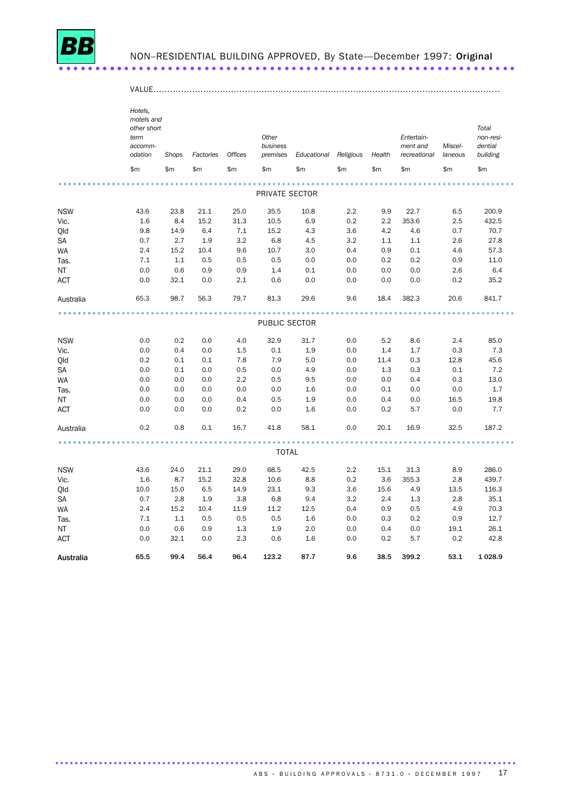

ACT

Australia

 $0.0$ 

65.5

 $32.1$  0.0

56.4

99.4

#### NON-RESIDENTIAL BUILDING APPROVED, By State-December 1997: Original

|            | Hotels.<br>motels and<br>other short<br>term<br>accomm-<br>odation | Shops | Factories | <b>Offices</b> | Other<br>business<br>premises | Educational | Religious | Health | Entertain-<br>ment and<br>recreational | Miscel-<br>laneous | Total<br>non-resi-<br>dential<br>building |
|------------|--------------------------------------------------------------------|-------|-----------|----------------|-------------------------------|-------------|-----------|--------|----------------------------------------|--------------------|-------------------------------------------|
|            | \$m\$                                                              | \$m   | \$m       | \$m            | \$m                           | \$m         | \$m       | \$m    | \$m                                    | \$m                | \$m\$                                     |
|            |                                                                    |       |           |                |                               |             |           |        |                                        |                    |                                           |
|            |                                                                    |       |           |                | PRIVATE SECTOR                |             |           |        |                                        |                    |                                           |
| <b>NSW</b> | 43.6                                                               | 23.8  | 21.1      | 25.0           | 35.5                          | 10.8        | 2.2       | 9.9    | 22.7                                   | 6.5                | 200.9                                     |
| Vic.       | 1.6                                                                | 8.4   | 15.2      | 31.3           | 10.5                          | 6.9         | 0.2       | 2.2    | 353.6                                  | 2.5                | 432.5                                     |
| Qld        | 9.8                                                                | 14.9  | 6.4       | 7.1            | 15.2                          | 4.3         | 3.6       | 4.2    | 4.6                                    | 0.7                | 70.7                                      |
| SA         | 0.7                                                                | 2.7   | 1.9       | 3.2            | 6.8                           | 4.5         | 3.2       | 1.1    | 1.1                                    | 2.6                | 27.8                                      |
| <b>WA</b>  | 2.4                                                                | 15.2  | 10.4      | 9.6            | 10.7                          | 3.0         | 0.4       | 0.9    | 0.1                                    | 4.6                | 57.3                                      |
| Tas.       | 7.1                                                                | 1.1   | 0.5       | 0.5            | 0.5                           | 0.0         | 0.0       | 0.2    | 0.2                                    | 0.9                | 11.0                                      |
| ΝT         | 0.0                                                                | 0.6   | 0.9       | 0.9            | 1.4                           | 0.1         | 0.0       | 0.0    | 0.0                                    | 2.6                | 6.4                                       |
| ACT        | 0.0                                                                | 32.1  | 0.0       | 2.1            | 0.6                           | 0.0         | 0.0       | 0.0    | 0.0                                    | 0.2                | 35.2                                      |
| Australia  | 65.3                                                               | 98.7  | 56.3      | 79.7           | 81.3                          | 29.6        | 9.6       | 18.4   | 382.3                                  | 20.6               | 841.7                                     |
|            |                                                                    |       |           |                |                               |             |           |        |                                        |                    |                                           |
|            |                                                                    |       |           |                | PUBLIC SECTOR                 |             |           |        |                                        |                    |                                           |
| <b>NSW</b> | 0.0                                                                | 0.2   | 0.0       | 4.0            | 32.9                          | 31.7        | 0.0       | 5.2    | 8.6                                    | 2.4                | 85.0                                      |
| Vic.       | 0.0                                                                | 0.4   | 0.0       | 1.5            | 0.1                           | 1.9         | 0.0       | 1.4    | 1.7                                    | 0.3                | 7.3                                       |
| Qld        | 0.2                                                                | 0.1   | 0.1       | 7.8            | 7.9                           | 5.0         | 0.0       | 11.4   | 0.3                                    | 12.8               | 45.6                                      |
| SA         | 0.0                                                                | 0.1   | 0.0       | 0.5            | 0.0                           | 4.9         | 0.0       | 1.3    | 0.3                                    | 0.1                | 7.2                                       |
| <b>WA</b>  | 0.0                                                                | 0.0   | 0.0       | 2.2            | 0.5                           | 9.5         | 0.0       | 0.0    | 0.4                                    | 0.3                | 13.0                                      |
| Tas.       | 0.0                                                                | 0.0   | 0.0       | 0.0            | 0.0                           | 1.6         | 0.0       | 0.1    | 0.0                                    | 0.0                | 1.7                                       |
| ΝT         | 0.0                                                                | 0.0   | 0.0       | 0.4            | 0.5                           | 1.9         | 0.0       | 0.4    | 0.0                                    | 16.5               | 19.8                                      |
| <b>ACT</b> | 0.0                                                                | 0.0   | 0.0       | 0.2            | 0.0                           | 1.6         | 0.0       | 0.2    | 5.7                                    | 0.0                | 7.7                                       |
| Australia  | 0.2                                                                | 0.8   | 0.1       | 16.7           | 41.8                          | 58.1        | 0.0       | 20.1   | 16.9                                   | 32.5               | 187.2                                     |
|            |                                                                    |       |           |                |                               |             |           |        |                                        |                    |                                           |
|            |                                                                    |       |           |                | <b>TOTAL</b>                  |             |           |        |                                        |                    |                                           |
| <b>NSW</b> | 43.6                                                               | 24.0  | 21.1      | 29.0           | 68.5                          | 42.5        | 2.2       | 15.1   | 31.3                                   | 8.9                | 286.0                                     |
| Vic.       | 1.6                                                                | 8.7   | 15.2      | 32.8           | 10.6                          | 8.8         | 0.2       | 3.6    | 355.3                                  | 2.8                | 439.7                                     |
| Qld        | 10.0                                                               | 15.0  | 6.5       | 14.9           | 23.1                          | 9.3         | 3.6       | 15.6   | 4.9                                    | 13.5               | 116.3                                     |
| SA         | 0.7                                                                | 2.8   | 1.9       | 3.8            | 6.8                           | 9.4         | 3.2       | 2.4    | 1.3                                    | 2.8                | 35.1                                      |
| WA         | 2.4                                                                | 15.2  | 10.4      | 11.9           | 11.2                          | 12.5        | 0.4       | 0.9    | 0.5                                    | 4.9                | 70.3                                      |
| Tas.       | 7.1                                                                | 1.1   | 0.5       | 0.5            | 0.5                           | 1.6         | 0.0       | 0.3    | 0.2                                    | 0.9                | 12.7                                      |
| NT         | 0.0                                                                | 0.6   | 0.9       | 1.3            | 1.9                           | 2.0         | 0.0       | 0.4    | 0.0                                    | 19.1               | 26.1                                      |

2.3 0.6 1.6

 $0.0$   $0.2$  5.7

96.4 123.2 87.7 9.6 38.5 399.2

 $0.2$ 

42.8

53.1 1 028.9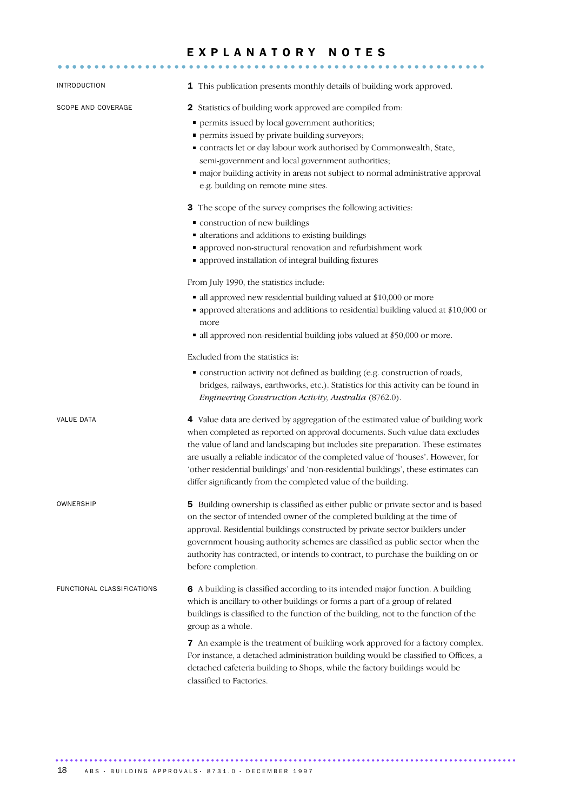# EXPLANATORY NOTES

| INTRODUCTION               | 1 This publication presents monthly details of building work approved.                                                                                                                                                                                                                                                                                                                                                                                                                         |  |  |  |  |  |
|----------------------------|------------------------------------------------------------------------------------------------------------------------------------------------------------------------------------------------------------------------------------------------------------------------------------------------------------------------------------------------------------------------------------------------------------------------------------------------------------------------------------------------|--|--|--|--|--|
| SCOPE AND COVERAGE         | <b>2</b> Statistics of building work approved are compiled from:<br>permits issued by local government authorities;<br>п<br>• permits issued by private building surveyors;<br>" contracts let or day labour work authorised by Commonwealth, State,<br>semi-government and local government authorities;<br>" major building activity in areas not subject to normal administrative approval<br>e.g. building on remote mine sites.                                                           |  |  |  |  |  |
|                            | 3 The scope of the survey comprises the following activities:<br>" construction of new buildings<br>· alterations and additions to existing buildings<br>• approved non-structural renovation and refurbishment work<br>• approved installation of integral building fixtures                                                                                                                                                                                                                  |  |  |  |  |  |
|                            | From July 1990, the statistics include:<br>• all approved new residential building valued at \$10,000 or more<br>• approved alterations and additions to residential building valued at \$10,000 or<br>more<br>all approved non-residential building jobs valued at \$50,000 or more.                                                                                                                                                                                                          |  |  |  |  |  |
|                            | Excluded from the statistics is:<br>• construction activity not defined as building (e.g. construction of roads,<br>bridges, railways, earthworks, etc.). Statistics for this activity can be found in<br>Engineering Construction Activity, Australia (8762.0).                                                                                                                                                                                                                               |  |  |  |  |  |
| <b>VALUE DATA</b>          | 4 Value data are derived by aggregation of the estimated value of building work<br>when completed as reported on approval documents. Such value data excludes<br>the value of land and landscaping but includes site preparation. These estimates<br>are usually a reliable indicator of the completed value of 'houses'. However, for<br>'other residential buildings' and 'non-residential buildings', these estimates can<br>differ significantly from the completed value of the building. |  |  |  |  |  |
| <b>OWNERSHIP</b>           | 5 Building ownership is classified as either public or private sector and is based<br>on the sector of intended owner of the completed building at the time of<br>approval. Residential buildings constructed by private sector builders under<br>government housing authority schemes are classified as public sector when the<br>authority has contracted, or intends to contract, to purchase the building on or<br>before completion.                                                      |  |  |  |  |  |
| FUNCTIONAL CLASSIFICATIONS | 6 A building is classified according to its intended major function. A building<br>which is ancillary to other buildings or forms a part of a group of related<br>buildings is classified to the function of the building, not to the function of the<br>group as a whole.                                                                                                                                                                                                                     |  |  |  |  |  |
|                            | 7 An example is the treatment of building work approved for a factory complex.<br>For instance, a detached administration building would be classified to Offices, a<br>detached cafeteria building to Shops, while the factory buildings would be<br>classified to Factories.                                                                                                                                                                                                                 |  |  |  |  |  |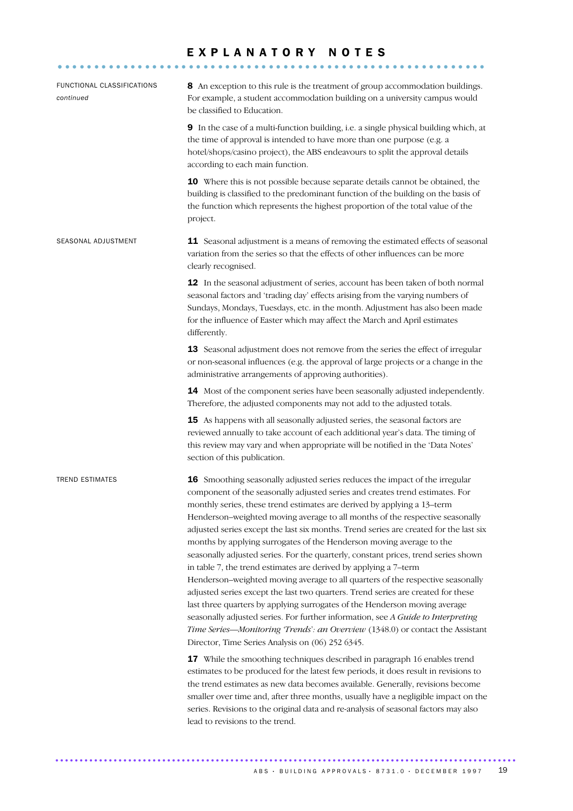# EXPLANATORY NOTES

| FUNCTIONAL CLASSIFICATIONS<br>continued | 8 An exception to this rule is the treatment of group accommodation buildings.<br>For example, a student accommodation building on a university campus would<br>be classified to Education.                                                                                                                                                                                                                                                                                                                                                                                                                                                                                                                                                                                                                                                                                                                                                                                                                                                                                                                                                                                                                                                                                                                                                                                                                                                                                                                                                                                                           |  |  |  |  |  |  |
|-----------------------------------------|-------------------------------------------------------------------------------------------------------------------------------------------------------------------------------------------------------------------------------------------------------------------------------------------------------------------------------------------------------------------------------------------------------------------------------------------------------------------------------------------------------------------------------------------------------------------------------------------------------------------------------------------------------------------------------------------------------------------------------------------------------------------------------------------------------------------------------------------------------------------------------------------------------------------------------------------------------------------------------------------------------------------------------------------------------------------------------------------------------------------------------------------------------------------------------------------------------------------------------------------------------------------------------------------------------------------------------------------------------------------------------------------------------------------------------------------------------------------------------------------------------------------------------------------------------------------------------------------------------|--|--|--|--|--|--|
|                                         | 9 In the case of a multi-function building, i.e. a single physical building which, at<br>the time of approval is intended to have more than one purpose (e.g. a<br>hotel/shops/casino project), the ABS endeavours to split the approval details<br>according to each main function.                                                                                                                                                                                                                                                                                                                                                                                                                                                                                                                                                                                                                                                                                                                                                                                                                                                                                                                                                                                                                                                                                                                                                                                                                                                                                                                  |  |  |  |  |  |  |
|                                         | 10 Where this is not possible because separate details cannot be obtained, the<br>building is classified to the predominant function of the building on the basis of<br>the function which represents the highest proportion of the total value of the<br>project.                                                                                                                                                                                                                                                                                                                                                                                                                                                                                                                                                                                                                                                                                                                                                                                                                                                                                                                                                                                                                                                                                                                                                                                                                                                                                                                                    |  |  |  |  |  |  |
| SEASONAL ADJUSTMENT                     | 11 Seasonal adjustment is a means of removing the estimated effects of seasonal<br>variation from the series so that the effects of other influences can be more<br>clearly recognised.                                                                                                                                                                                                                                                                                                                                                                                                                                                                                                                                                                                                                                                                                                                                                                                                                                                                                                                                                                                                                                                                                                                                                                                                                                                                                                                                                                                                               |  |  |  |  |  |  |
|                                         | 12 In the seasonal adjustment of series, account has been taken of both normal<br>seasonal factors and 'trading day' effects arising from the varying numbers of<br>Sundays, Mondays, Tuesdays, etc. in the month. Adjustment has also been made<br>for the influence of Easter which may affect the March and April estimates<br>differently.                                                                                                                                                                                                                                                                                                                                                                                                                                                                                                                                                                                                                                                                                                                                                                                                                                                                                                                                                                                                                                                                                                                                                                                                                                                        |  |  |  |  |  |  |
|                                         | 13 Seasonal adjustment does not remove from the series the effect of irregular<br>or non-seasonal influences (e.g. the approval of large projects or a change in the<br>administrative arrangements of approving authorities).                                                                                                                                                                                                                                                                                                                                                                                                                                                                                                                                                                                                                                                                                                                                                                                                                                                                                                                                                                                                                                                                                                                                                                                                                                                                                                                                                                        |  |  |  |  |  |  |
|                                         | 14 Most of the component series have been seasonally adjusted independently.<br>Therefore, the adjusted components may not add to the adjusted totals.                                                                                                                                                                                                                                                                                                                                                                                                                                                                                                                                                                                                                                                                                                                                                                                                                                                                                                                                                                                                                                                                                                                                                                                                                                                                                                                                                                                                                                                |  |  |  |  |  |  |
|                                         | 15 As happens with all seasonally adjusted series, the seasonal factors are<br>reviewed annually to take account of each additional year's data. The timing of<br>this review may vary and when appropriate will be notified in the 'Data Notes'<br>section of this publication.                                                                                                                                                                                                                                                                                                                                                                                                                                                                                                                                                                                                                                                                                                                                                                                                                                                                                                                                                                                                                                                                                                                                                                                                                                                                                                                      |  |  |  |  |  |  |
| <b>TREND ESTIMATES</b>                  | 16 Smoothing seasonally adjusted series reduces the impact of the irregular<br>component of the seasonally adjusted series and creates trend estimates. For<br>monthly series, these trend estimates are derived by applying a 13-term<br>Henderson-weighted moving average to all months of the respective seasonally<br>adjusted series except the last six months. Trend series are created for the last six<br>months by applying surrogates of the Henderson moving average to the<br>seasonally adjusted series. For the quarterly, constant prices, trend series shown<br>in table 7, the trend estimates are derived by applying a 7-term<br>Henderson-weighted moving average to all quarters of the respective seasonally<br>adjusted series except the last two quarters. Trend series are created for these<br>last three quarters by applying surrogates of the Henderson moving average<br>seasonally adjusted series. For further information, see A Guide to Interpreting<br>Time Series-Monitoring 'Trends': an Overview (1348.0) or contact the Assistant<br>Director, Time Series Analysis on (06) 252 6345.<br>17 While the smoothing techniques described in paragraph 16 enables trend<br>estimates to be produced for the latest few periods, it does result in revisions to<br>the trend estimates as new data becomes available. Generally, revisions become<br>smaller over time and, after three months, usually have a negligible impact on the<br>series. Revisions to the original data and re-analysis of seasonal factors may also<br>lead to revisions to the trend. |  |  |  |  |  |  |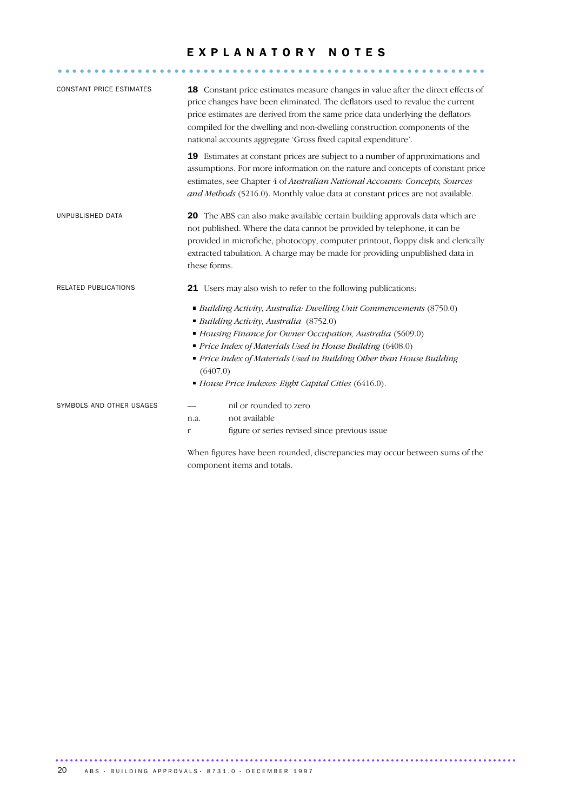# EXPLANATORY NOTES

| <b>CONSTANT PRICE ESTIMATES</b> |                                                                | 18 Constant price estimates measure changes in value after the direct effects of<br>price changes have been eliminated. The deflators used to revalue the current<br>price estimates are derived from the same price data underlying the deflators<br>compiled for the dwelling and non-dwelling construction components of the<br>national accounts aggregate 'Gross fixed capital expenditure'. |  |  |  |  |  |
|---------------------------------|----------------------------------------------------------------|---------------------------------------------------------------------------------------------------------------------------------------------------------------------------------------------------------------------------------------------------------------------------------------------------------------------------------------------------------------------------------------------------|--|--|--|--|--|
|                                 |                                                                | 19 Estimates at constant prices are subject to a number of approximations and<br>assumptions. For more information on the nature and concepts of constant price<br>estimates, see Chapter 4 of Australian National Accounts: Concepts, Sources<br>and Methods (5216.0). Monthly value data at constant prices are not available.                                                                  |  |  |  |  |  |
| UNPUBLISHED DATA                | these forms.                                                   | 20 The ABS can also make available certain building approvals data which are<br>not published. Where the data cannot be provided by telephone, it can be<br>provided in microfiche, photocopy, computer printout, floppy disk and clerically<br>extracted tabulation. A charge may be made for providing unpublished data in                                                                      |  |  |  |  |  |
| RELATED PUBLICATIONS            | 21 Users may also wish to refer to the following publications: |                                                                                                                                                                                                                                                                                                                                                                                                   |  |  |  |  |  |
|                                 |                                                                | • Building Activity, Australia: Dwelling Unit Commencements (8750.0)<br>Building Activity, Australia (8752.0)<br>Housing Finance for Owner Occupation, Australia (5609.0)<br>Price Index of Materials Used in House Building (6408.0)                                                                                                                                                             |  |  |  |  |  |
|                                 | (6407.0)                                                       | Price Index of Materials Used in Building Other than House Building                                                                                                                                                                                                                                                                                                                               |  |  |  |  |  |
|                                 |                                                                | House Price Indexes: Eight Capital Cities (6416.0).                                                                                                                                                                                                                                                                                                                                               |  |  |  |  |  |
| SYMBOLS AND OTHER USAGES        |                                                                | nil or rounded to zero                                                                                                                                                                                                                                                                                                                                                                            |  |  |  |  |  |
|                                 | n.a.                                                           | not available                                                                                                                                                                                                                                                                                                                                                                                     |  |  |  |  |  |
|                                 | r                                                              | figure or series revised since previous issue                                                                                                                                                                                                                                                                                                                                                     |  |  |  |  |  |
|                                 |                                                                | When figures have been rounded, discrepancies may occur between sums of the                                                                                                                                                                                                                                                                                                                       |  |  |  |  |  |
|                                 |                                                                | component items and totals.                                                                                                                                                                                                                                                                                                                                                                       |  |  |  |  |  |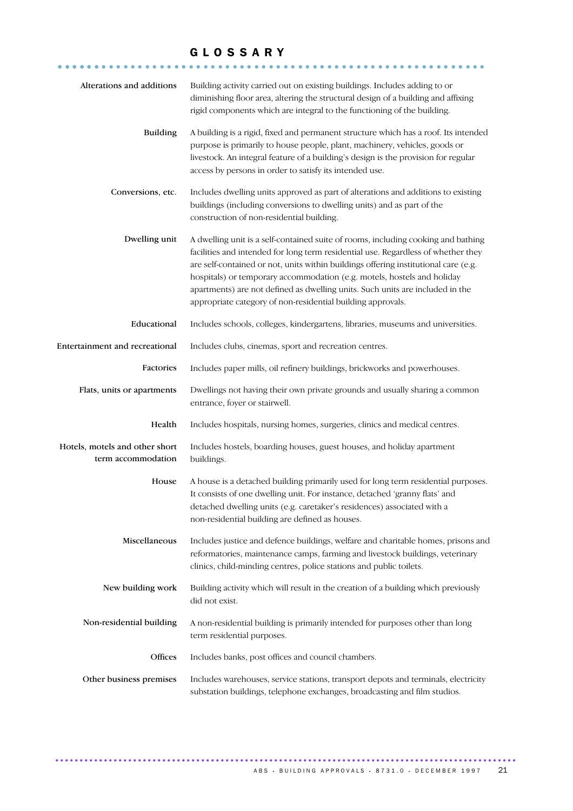# GLOSSARY

| Alterations and additions                            | Building activity carried out on existing buildings. Includes adding to or<br>diminishing floor area, altering the structural design of a building and affixing<br>rigid components which are integral to the functioning of the building.                                                                                                                                                                                                                                               |
|------------------------------------------------------|------------------------------------------------------------------------------------------------------------------------------------------------------------------------------------------------------------------------------------------------------------------------------------------------------------------------------------------------------------------------------------------------------------------------------------------------------------------------------------------|
| <b>Building</b>                                      | A building is a rigid, fixed and permanent structure which has a roof. Its intended<br>purpose is primarily to house people, plant, machinery, vehicles, goods or<br>livestock. An integral feature of a building's design is the provision for regular<br>access by persons in order to satisfy its intended use.                                                                                                                                                                       |
| Conversions, etc.                                    | Includes dwelling units approved as part of alterations and additions to existing<br>buildings (including conversions to dwelling units) and as part of the<br>construction of non-residential building.                                                                                                                                                                                                                                                                                 |
| Dwelling unit                                        | A dwelling unit is a self-contained suite of rooms, including cooking and bathing<br>facilities and intended for long term residential use. Regardless of whether they<br>are self-contained or not, units within buildings offering institutional care (e.g.<br>hospitals) or temporary accommodation (e.g. motels, hostels and holiday<br>apartments) are not defined as dwelling units. Such units are included in the<br>appropriate category of non-residential building approvals. |
| Educational                                          | Includes schools, colleges, kindergartens, libraries, museums and universities.                                                                                                                                                                                                                                                                                                                                                                                                          |
| Entertainment and recreational                       | Includes clubs, cinemas, sport and recreation centres.                                                                                                                                                                                                                                                                                                                                                                                                                                   |
| Factories                                            | Includes paper mills, oil refinery buildings, brickworks and powerhouses.                                                                                                                                                                                                                                                                                                                                                                                                                |
| Flats, units or apartments                           | Dwellings not having their own private grounds and usually sharing a common<br>entrance, foyer or stairwell.                                                                                                                                                                                                                                                                                                                                                                             |
| Health                                               | Includes hospitals, nursing homes, surgeries, clinics and medical centres.                                                                                                                                                                                                                                                                                                                                                                                                               |
| Hotels, motels and other short<br>term accommodation | Includes hostels, boarding houses, guest houses, and holiday apartment<br>buildings.                                                                                                                                                                                                                                                                                                                                                                                                     |
| House                                                | A house is a detached building primarily used for long term residential purposes.<br>It consists of one dwelling unit. For instance, detached 'granny flats' and<br>detached dwelling units (e.g. caretaker's residences) associated with a<br>non-residential building are defined as houses.                                                                                                                                                                                           |
| Miscellaneous                                        | Includes justice and defence buildings, welfare and charitable homes, prisons and<br>reformatories, maintenance camps, farming and livestock buildings, veterinary<br>clinics, child-minding centres, police stations and public toilets.                                                                                                                                                                                                                                                |
| New building work                                    | Building activity which will result in the creation of a building which previously<br>did not exist.                                                                                                                                                                                                                                                                                                                                                                                     |
| Non-residential building                             | A non-residential building is primarily intended for purposes other than long<br>term residential purposes.                                                                                                                                                                                                                                                                                                                                                                              |
| Offices                                              | Includes banks, post offices and council chambers.                                                                                                                                                                                                                                                                                                                                                                                                                                       |
| Other business premises                              | Includes warehouses, service stations, transport depots and terminals, electricity<br>substation buildings, telephone exchanges, broadcasting and film studios.                                                                                                                                                                                                                                                                                                                          |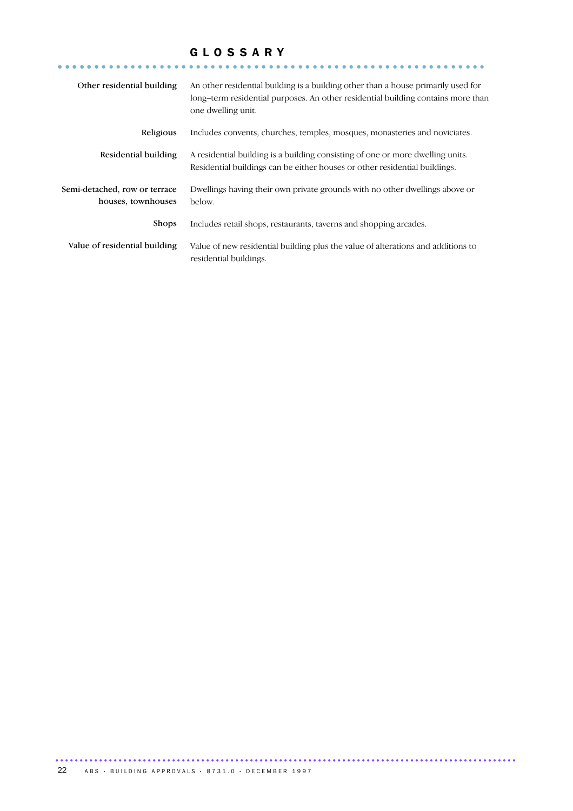# GLOSSARY

| Other residential building                          | An other residential building is a building other than a house primarily used for<br>long-term residential purposes. An other residential building contains more than<br>one dwelling unit. |
|-----------------------------------------------------|---------------------------------------------------------------------------------------------------------------------------------------------------------------------------------------------|
| Religious                                           | Includes convents, churches, temples, mosques, monasteries and noviciates.                                                                                                                  |
| Residential building                                | A residential building is a building consisting of one or more dwelling units.<br>Residential buildings can be either houses or other residential buildings.                                |
| Semi-detached, row or terrace<br>houses, townhouses | Dwellings having their own private grounds with no other dwellings above or<br>below.                                                                                                       |
| <b>Shops</b>                                        | Includes retail shops, restaurants, taverns and shopping arcades.                                                                                                                           |
| Value of residential building                       | Value of new residential building plus the value of alterations and additions to<br>residential buildings.                                                                                  |